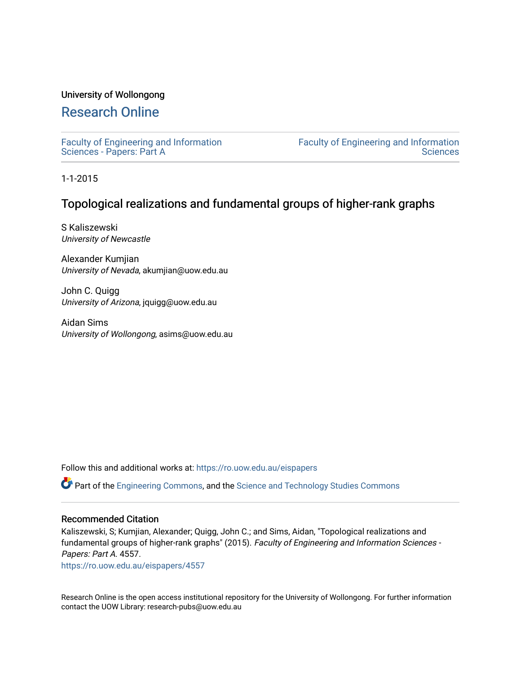## University of Wollongong

# [Research Online](https://ro.uow.edu.au/)

[Faculty of Engineering and Information](https://ro.uow.edu.au/eispapers)  [Sciences - Papers: Part A](https://ro.uow.edu.au/eispapers) 

[Faculty of Engineering and Information](https://ro.uow.edu.au/eis)  **Sciences** 

1-1-2015

# Topological realizations and fundamental groups of higher-rank graphs

S Kaliszewski University of Newcastle

Alexander Kumjian University of Nevada, akumjian@uow.edu.au

John C. Quigg University of Arizona, jquigg@uow.edu.au

Aidan Sims University of Wollongong, asims@uow.edu.au

Follow this and additional works at: [https://ro.uow.edu.au/eispapers](https://ro.uow.edu.au/eispapers?utm_source=ro.uow.edu.au%2Feispapers%2F4557&utm_medium=PDF&utm_campaign=PDFCoverPages)

Part of the [Engineering Commons](http://network.bepress.com/hgg/discipline/217?utm_source=ro.uow.edu.au%2Feispapers%2F4557&utm_medium=PDF&utm_campaign=PDFCoverPages), and the [Science and Technology Studies Commons](http://network.bepress.com/hgg/discipline/435?utm_source=ro.uow.edu.au%2Feispapers%2F4557&utm_medium=PDF&utm_campaign=PDFCoverPages)

### Recommended Citation

Kaliszewski, S; Kumjian, Alexander; Quigg, John C.; and Sims, Aidan, "Topological realizations and fundamental groups of higher-rank graphs" (2015). Faculty of Engineering and Information Sciences - Papers: Part A. 4557.

[https://ro.uow.edu.au/eispapers/4557](https://ro.uow.edu.au/eispapers/4557?utm_source=ro.uow.edu.au%2Feispapers%2F4557&utm_medium=PDF&utm_campaign=PDFCoverPages) 

Research Online is the open access institutional repository for the University of Wollongong. For further information contact the UOW Library: research-pubs@uow.edu.au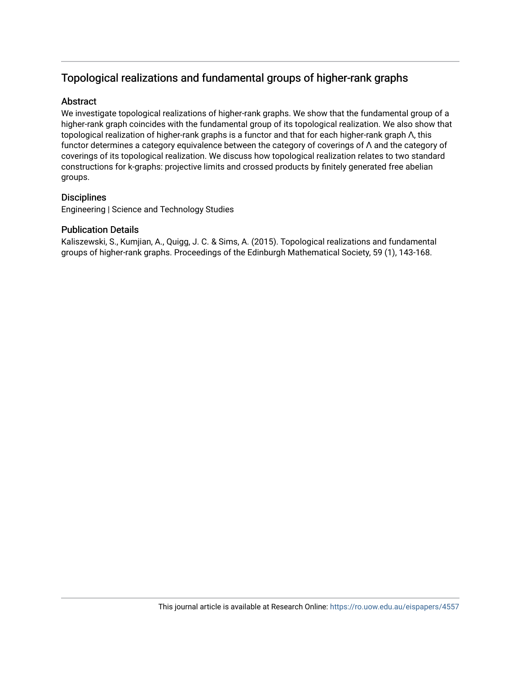# Topological realizations and fundamental groups of higher-rank graphs

## **Abstract**

We investigate topological realizations of higher-rank graphs. We show that the fundamental group of a higher-rank graph coincides with the fundamental group of its topological realization. We also show that topological realization of higher-rank graphs is a functor and that for each higher-rank graph Λ, this functor determines a category equivalence between the category of coverings of Λ and the category of coverings of its topological realization. We discuss how topological realization relates to two standard constructions for k-graphs: projective limits and crossed products by finitely generated free abelian groups.

# **Disciplines**

Engineering | Science and Technology Studies

# Publication Details

Kaliszewski, S., Kumjian, A., Quigg, J. C. & Sims, A. (2015). Topological realizations and fundamental groups of higher-rank graphs. Proceedings of the Edinburgh Mathematical Society, 59 (1), 143-168.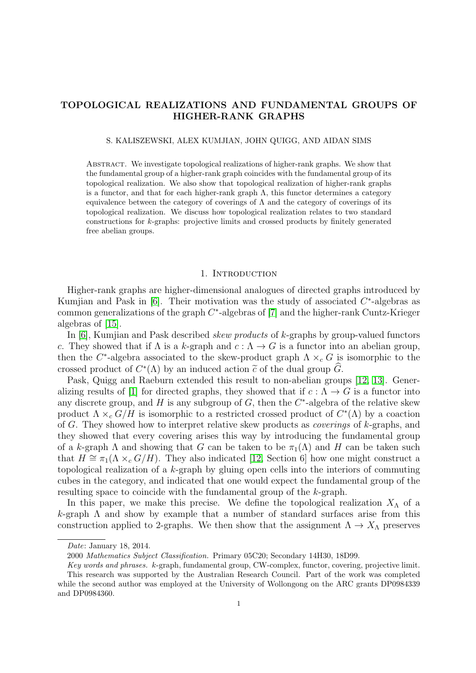## TOPOLOGICAL REALIZATIONS AND FUNDAMENTAL GROUPS OF HIGHER-RANK GRAPHS

S. KALISZEWSKI, ALEX KUMJIAN, JOHN QUIGG, AND AIDAN SIMS

Abstract. We investigate topological realizations of higher-rank graphs. We show that the fundamental group of a higher-rank graph coincides with the fundamental group of its topological realization. We also show that topological realization of higher-rank graphs is a functor, and that for each higher-rank graph  $\Lambda$ , this functor determines a category equivalence between the category of coverings of  $\Lambda$  and the category of coverings of its topological realization. We discuss how topological realization relates to two standard constructions for k-graphs: projective limits and crossed products by finitely generated free abelian groups.

#### 1. INTRODUCTION

Higher-rank graphs are higher-dimensional analogues of directed graphs introduced by Kumjian and Pask in  $[6]$ . Their motivation was the study of associated  $C^*$ -algebras as common generalizations of the graph  $C^*$ -algebras of [\[7\]](#page-24-1) and the higher-rank Cuntz-Krieger algebras of [\[15\]](#page-24-2).

In [\[6\]](#page-24-0), Kumjian and Pask described *skew products* of k-graphs by group-valued functors c. They showed that if  $\Lambda$  is a k-graph and  $c: \Lambda \to G$  is a functor into an abelian group, then the  $C^*$ -algebra associated to the skew-product graph  $\Lambda \times_c G$  is isomorphic to the crossed product of  $C^*(\Lambda)$  by an induced action  $\tilde{c}$  of the dual group  $\tilde{G}$ .<br>Pask Ouiga and Bacburn extended this result to non-abelian group

Pask, Quigg and Raeburn extended this result to non-abelian groups [\[12,](#page-24-3) [13\]](#page-24-4). Gener-alizing results of [\[1\]](#page-23-0) for directed graphs, they showed that if  $c : \Lambda \to G$  is a functor into any discrete group, and  $H$  is any subgroup of  $G$ , then the  $C^*$ -algebra of the relative skew product  $\Lambda \times_c G/H$  is isomorphic to a restricted crossed product of  $C^*(\Lambda)$  by a coaction of G. They showed how to interpret relative skew products as *coverings* of  $k$ -graphs, and they showed that every covering arises this way by introducing the fundamental group of a k-graph  $\Lambda$  and showing that G can be taken to be  $\pi_1(\Lambda)$  and H can be taken such that  $H \cong \pi_1(\Lambda \times_c G/H)$ . They also indicated [\[12,](#page-24-3) Section 6] how one might construct a topological realization of a k-graph by gluing open cells into the interiors of commuting cubes in the category, and indicated that one would expect the fundamental group of the resulting space to coincide with the fundamental group of the k-graph.

In this paper, we make this precise. We define the topological realization  $X_{\Lambda}$  of a  $k$ -graph  $\Lambda$  and show by example that a number of standard surfaces arise from this construction applied to 2-graphs. We then show that the assignment  $\Lambda \to X_{\Lambda}$  preserves

Date: January 18, 2014.

<sup>2000</sup> Mathematics Subject Classification. Primary 05C20; Secondary 14H30, 18D99.

Key words and phrases. k-graph, fundamental group, CW-complex, functor, covering, projective limit. This research was supported by the Australian Research Council. Part of the work was completed while the second author was employed at the University of Wollongong on the ARC grants DP0984339 and DP0984360.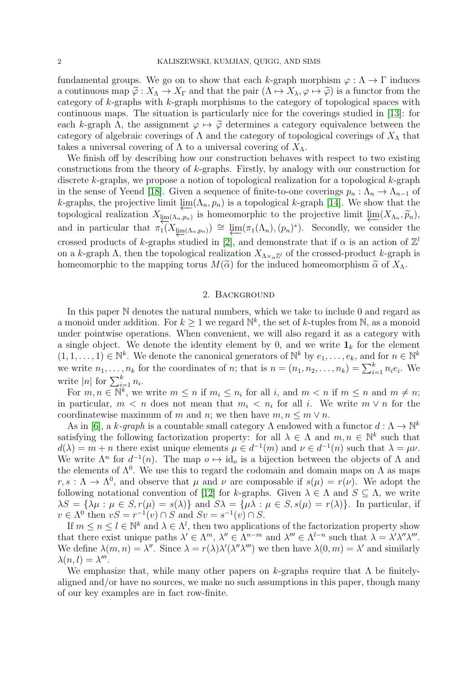fundamental groups. We go on to show that each k-graph morphism  $\varphi : \Lambda \to \Gamma$  induces a continuous map  $\tilde{\varphi}: X_{\Lambda} \to X_{\Gamma}$  and that the pair  $(\Lambda \to X_{\lambda}, \varphi \to \tilde{\varphi})$  is a functor from the category of  $k$ -graphs with  $k$ -graph morphisms to the category of topological spaces with continuous maps. The situation is particularly nice for the coverings studied in [\[13\]](#page-24-4): for each k-graph  $\Lambda$ , the assignment  $\varphi \mapsto \widetilde{\varphi}$  determines a category equivalence between the category of algebraic coverings of  $\Lambda$  and the category of topological coverings of  $X_{\Lambda}$  that takes a universal covering of  $\Lambda$  to a universal covering of  $X_{\Lambda}$ .

We finish off by describing how our construction behaves with respect to two existing constructions from the theory of k-graphs. Firstly, by analogy with our construction for discrete k-graphs, we propose a notion of topological realization for a topological k-graph in the sense of Yeend [\[18\]](#page-24-5). Given a sequence of finite-to-one coverings  $p_n : \Lambda_n \to \Lambda_{n-1}$  of k-graphs, the projective limit  $\varprojlim(\Lambda_n, p_n)$  is a topological k-graph [\[14\]](#page-24-6). We show that the topological realization  $X_{\lim(\Lambda_n,p_n)}$  is homeomorphic to the projective limit  $\lim_{\Lambda_n,\widetilde{p}_n} (X_{\Lambda_n},\widetilde{p}_n)$ and in particular that  $\pi_1(X_{\underline{\lim}}(\Lambda_n,p_n)) \cong \underline{\lim}(\pi_1(\Lambda_n),(p_n)^*)$ . Secondly, we consider the crossed products of k-graphs studied in [\[2\]](#page-23-1), and demonstrate that if  $\alpha$  is an action of  $\mathbb{Z}^l$ on a k-graph  $\Lambda$ , then the topological realization  $X_{\Lambda\times_{\alpha}\mathbb{Z}^l}$  of the crossed-product k-graph is homeomorphic to the mapping torus  $M(\tilde{\alpha})$  for the induced homeomorphism  $\tilde{\alpha}$  of  $X_{\Lambda}$ .

#### 2. Background

In this paper N denotes the natural numbers, which we take to include 0 and regard as a monoid under addition. For  $k \geq 1$  we regard  $\mathbb{N}^k$ , the set of k-tuples from N, as a monoid under pointwise operations. When convenient, we will also regard it as a category with a single object. We denote the identity element by 0, and we write  $\mathbf{1}_k$  for the element  $(1,1,\ldots,1) \in \mathbb{N}^k$ . We denote the canonical generators of  $\mathbb{N}^k$  by  $e_1,\ldots,e_k$ , and for  $n \in \mathbb{N}^k$ we write  $n_1, \ldots, n_k$  for the coordinates of n; that is  $n = (n_1, n_2, \ldots, n_k) = \sum_{i=1}^k n_i e_i$ . We write |n| for  $\sum_{i=1}^{k} n_i$ .

For  $m, n \in \mathbb{N}^k$ , we write  $m \leq n$  if  $m_i \leq n_i$  for all i, and  $m < n$  if  $m \leq n$  and  $m \neq n$ ; in particular,  $m < n$  does not mean that  $m_i < n_i$  for all i. We write  $m \vee n$  for the coordinatewise maximum of m and n; we then have  $m, n \leq m \vee n$ .

As in [\[6\]](#page-24-0), a k-graph is a countable small category  $\Lambda$  endowed with a functor  $d : \Lambda \to \mathbb{N}^k$ satisfying the following factorization property: for all  $\lambda \in \Lambda$  and  $m, n \in \mathbb{N}^k$  such that  $d(\lambda) = m + n$  there exist unique elements  $\mu \in d^{-1}(m)$  and  $\nu \in d^{-1}(n)$  such that  $\lambda = \mu \nu$ . We write  $\Lambda^n$  for  $d^{-1}(n)$ . The map  $o \mapsto id_o$  is a bijection between the objects of  $\Lambda$  and the elements of  $\Lambda^0$ . We use this to regard the codomain and domain maps on  $\Lambda$  as maps  $r, s : \Lambda \to \Lambda^0$ , and observe that  $\mu$  and  $\nu$  are composable if  $s(\mu) = r(\nu)$ . We adopt the following notational convention of [\[12\]](#page-24-3) for k-graphs. Given  $\lambda \in \Lambda$  and  $S \subseteq \Lambda$ , we write  $\lambda S = {\lambda \mu : \mu \in S, r(\mu) = s(\lambda)}$  and  $S\lambda = {\mu \lambda : \mu \in S, s(\mu) = r(\lambda)}$ . In particular, if  $v \in \Lambda^0$  then  $vS = r^{-1}(v) \cap S$  and  $Sv = s^{-1}(v) \cap S$ .

If  $m \leq n \leq l \in \mathbb{N}^k$  and  $\lambda \in \Lambda^l$ , then two applications of the factorization property show that there exist unique paths  $\lambda' \in \Lambda^m$ ,  $\lambda'' \in \Lambda^{n-m}$  and  $\lambda''' \in \Lambda^{l-n}$  such that  $\lambda = \lambda' \lambda'' \lambda'''$ . We define  $\lambda(m,n) = \lambda''$ . Since  $\lambda = r(\lambda)\lambda'(\lambda''\lambda''')$  we then have  $\lambda(0,m) = \lambda'$  and similarly  $\lambda(n,l) = \lambda^{\prime\prime\prime}.$ 

We emphasize that, while many other papers on k-graphs require that  $\Lambda$  be finitelyaligned and/or have no sources, we make no such assumptions in this paper, though many of our key examples are in fact row-finite.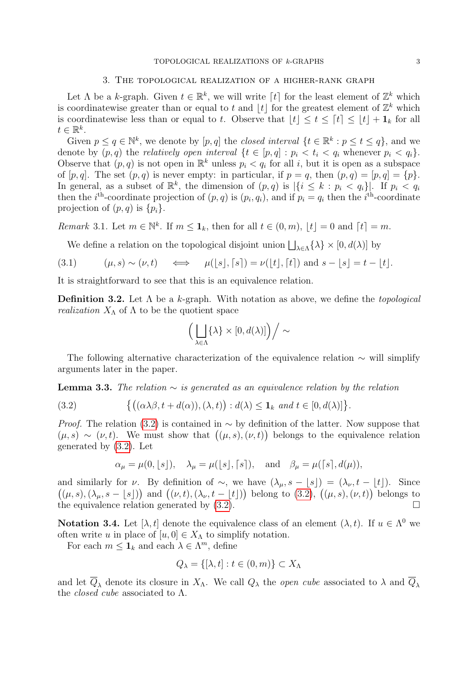#### 3. The topological realization of a higher-rank graph

<span id="page-4-3"></span>Let  $\Lambda$  be a k-graph. Given  $t \in \mathbb{R}^k$ , we will write  $\lceil t \rceil$  for the least element of  $\mathbb{Z}^k$  which is coordinatewise greater than or equal to t and  $\lfloor t \rfloor$  for the greatest element of  $\mathbb{Z}^k$  which is coordinatewise less than or equal to t. Observe that  $|t| \leq t \leq [t] \leq |t| + \mathbf{1}_k$  for all  $t \in \mathbb{R}^k$ .

Given  $p \le q \in \mathbb{N}^k$ , we denote by  $[p, q]$  the *closed interval*  $\{t \in \mathbb{R}^k : p \le t \le q\}$ , and we denote by  $(p, q)$  the relatively open interval  $\{t \in [p, q] : p_i < t_i < q_i \text{ whenever } p_i < q_i\}.$ Observe that  $(p, q)$  is not open in  $\mathbb{R}^k$  unless  $p_i < q_i$  for all i, but it is open as a subspace of  $[p, q]$ . The set  $(p, q)$  is never empty: in particular, if  $p = q$ , then  $(p, q) = [p, q] = \{p\}$ . In general, as a subset of  $\mathbb{R}^k$ , the dimension of  $(p,q)$  is  $|\{i \leq k : p_i < q_i\}|$ . If  $p_i < q_i$ then the *i*<sup>th</sup>-coordinate projection of  $(p, q)$  is  $(p_i, q_i)$ , and if  $p_i = q_i$  then the *i*<sup>th</sup>-coordinate projection of  $(p, q)$  is  $\{p_i\}$ .

<span id="page-4-1"></span>Remark 3.1. Let  $m \in \mathbb{N}^k$ . If  $m \leq \mathbf{1}_k$ , then for all  $t \in (0, m)$ ,  $\lfloor t \rfloor = 0$  and  $\lceil t \rceil = m$ .

<span id="page-4-2"></span>We define a relation on the topological disjoint union  $\bigsqcup_{\lambda \in \Lambda} {\lambda} \times [0, d(\lambda)]$  by

$$
(3.1) \qquad (\mu, s) \sim (\nu, t) \qquad \Longleftrightarrow \qquad \mu(\lfloor s \rfloor, \lceil s \rceil) = \nu(\lfloor t \rfloor, \lceil t \rceil) \text{ and } s - \lfloor s \rfloor = t - \lfloor t \rfloor.
$$

It is straightforward to see that this is an equivalence relation.

**Definition 3.2.** Let  $\Lambda$  be a k-graph. With notation as above, we define the *topological realization*  $X_{\Lambda}$  of  $\Lambda$  to be the quotient space

$$
\left(\left.\bigsqcup_{\lambda\in\Lambda}\{\lambda\}\times[0,d(\lambda)]\right)\right/\sim
$$

The following alternative characterization of the equivalence relation  $\sim$  will simplify arguments later in the paper.

**Lemma 3.3.** The relation  $\sim$  is generated as an equivalence relation by the relation

(3.2) 
$$
\{((\alpha\lambda\beta, t+d(\alpha)), (\lambda, t)): d(\lambda)\leq \mathbf{1}_k \text{ and } t\in [0, d(\lambda)]\}.
$$

*Proof.* The relation [\(3.2\)](#page-4-0) is contained in  $\sim$  by definition of the latter. Now suppose that  $(\mu, s) \sim (\nu, t)$ . We must show that  $((\mu, s), (\nu, t))$  belongs to the equivalence relation generated by [\(3.2\)](#page-4-0). Let

<span id="page-4-0"></span>
$$
\alpha_{\mu} = \mu(0, \lfloor s \rfloor), \quad \lambda_{\mu} = \mu(\lfloor s \rfloor, \lceil s \rceil), \quad \text{and} \quad \beta_{\mu} = \mu(\lceil s \rceil, d(\mu)),
$$

and similarly for  $\nu$ . By definition of ~, we have  $(\lambda_{\mu}, s - \lfloor s \rfloor) = (\lambda_{\nu}, t - \lfloor t \rfloor)$ . Since  $((\mu, s), (\lambda_{\mu}, s - \lfloor s \rfloor))$  and  $((\nu, t), (\lambda_{\nu}, t - \lfloor t \rfloor))$  belong to [\(3.2\)](#page-4-0),  $((\mu, s), (\nu, t))$  belongs to the equivalence relation generated by  $(3.2)$ .

**Notation 3.4.** Let  $[\lambda, t]$  denote the equivalence class of an element  $(\lambda, t)$ . If  $u \in \Lambda^0$  we often write u in place of  $[u, 0] \in X_\Lambda$  to simplify notation.

For each  $m \leq \mathbf{1}_k$  and each  $\lambda \in \Lambda^m$ , define

$$
Q_{\lambda} = \{ [\lambda, t] : t \in (0, m) \} \subset X_{\Lambda}
$$

and let  $\overline{Q}_{\lambda}$  denote its closure in  $X_{\Lambda}$ . We call  $Q_{\lambda}$  the *open cube* associated to  $\lambda$  and  $\overline{Q}_{\lambda}$ the *closed cube* associated to  $\Lambda$ .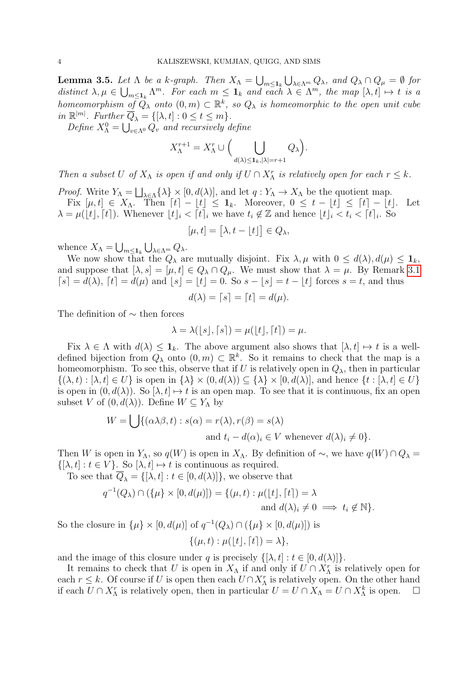<span id="page-5-0"></span>**Lemma 3.5.** Let  $\Lambda$  be a k-graph. Then  $X_{\Lambda} = \bigcup_{m \leq 1_k} \bigcup_{\lambda \in \Lambda^m} Q_{\lambda}$ , and  $Q_{\lambda} \cap Q_{\mu} = \emptyset$  for distinct  $\lambda, \mu \in \bigcup_{m \leq 1_k} \Lambda^m$ . For each  $m \leq 1_k$  and each  $\lambda \in \Lambda^m$ , the map  $[\lambda, t] \mapsto t$  is a homeomorphism of  $\tilde{Q}_{\lambda}$  onto  $(0, m) \subset \mathbb{R}^k$ , so  $Q_{\lambda}$  is homeomorphic to the open unit cube in  $\mathbb{R}^{|m|}$ . Further  $\overline{Q}_{\lambda} = \{[\lambda, t] : 0 \le t \le m\}.$ 

Define  $X_{\Lambda}^0 = \bigcup_{v \in \Lambda^0} Q_v$  and recursively define

$$
X_{\Lambda}^{r+1} = X_{\Lambda}^{r} \cup \Big( \bigcup_{d(\lambda) \leq \mathbf{1}_{k}, |\lambda| = r+1} Q_{\lambda} \Big).
$$

Then a subset U of  $X_{\Lambda}$  is open if and only if  $U \cap X_{\Lambda}^r$  is relatively open for each  $r \leq k$ .

*Proof.* Write  $Y_{\Lambda} = \bigsqcup_{\lambda \in \Lambda} {\lambda} \times [0, d(\lambda)],$  and let  $q: Y_{\Lambda} \to X_{\Lambda}$  be the quotient map.

Fix  $[\mu, t] \in X_\Lambda$ . Then  $[t] - \lfloor t \rfloor \leq 1_k$ . Moreover,  $0 \leq t - \lfloor t \rfloor \leq \lceil t \rceil - \lfloor t \rfloor$ . Let  $\lambda = \mu([t], [t])$ . Whenever  $[t]_i < [t]_i$  we have  $t_i \notin \mathbb{Z}$  and hence  $[t]_i < t_i < [t]_i$ . So

$$
[\mu, t] = [\lambda, t - \lfloor t \rfloor] \in Q_{\lambda},
$$

whence  $X_{\Lambda} = \bigcup_{m \leq \mathbf{1}_k} \bigcup_{\lambda \in \Lambda^m} Q_{\lambda}$ .

We now show that the  $Q_{\lambda}$  are mutually disjoint. Fix  $\lambda, \mu$  with  $0 \leq d(\lambda), d(\mu) \leq \mathbf{1}_k$ , and suppose that  $[\lambda, s] = [\mu, t] \in Q_{\lambda} \cap Q_{\mu}$ . We must show that  $\lambda = \mu$ . By Remark [3.1](#page-4-1)  $[s] = d(\lambda)$ ,  $[t] = d(\mu)$  and  $|s| = |t| = 0$ . So  $s - |s| = t - |t|$  forces  $s = t$ , and thus

$$
d(\lambda) = \lceil s \rceil = \lceil t \rceil = d(\mu).
$$

The definition of  $\sim$  then forces

$$
\lambda = \lambda(\lfloor s \rfloor, \lceil s \rceil) = \mu(\lfloor t \rfloor, \lceil t \rceil) = \mu.
$$

Fix  $\lambda \in \Lambda$  with  $d(\lambda) \leq \mathbf{1}_k$ . The above argument also shows that  $[\lambda, t] \mapsto t$  is a welldefined bijection from  $Q_{\lambda}$  onto  $(0, m) \subset \mathbb{R}^{k}$ . So it remains to check that the map is a homeomorphism. To see this, observe that if U is relatively open in  $Q_{\lambda}$ , then in particular  $\{(\lambda, t) : [\lambda, t] \in U\}$  is open in  $\{\lambda\} \times (0, d(\lambda)) \subseteq \{\lambda\} \times [0, d(\lambda)]$ , and hence  $\{t : [\lambda, t] \in U\}$ is open in  $(0, d(\lambda))$ . So  $[\lambda, t] \mapsto t$  is an open map. To see that it is continuous, fix an open subset V of  $(0, d(\lambda))$ . Define  $W \subseteq Y_{\Lambda}$  by

$$
W = \bigcup \{ (\alpha \lambda \beta, t) : s(\alpha) = r(\lambda), r(\beta) = s(\lambda)
$$
  
and  $t_i - d(\alpha)_i \in V$  whenever  $d(\lambda)_i \neq 0 \}.$ 

Then W is open in Y<sub>Λ</sub>, so  $q(W)$  is open in X<sub>Λ</sub>. By definition of ~, we have  $q(W) \cap Q_{\lambda} =$  $\{[\lambda, t] : t \in V\}$ . So  $[\lambda, t] \mapsto t$  is continuous as required.

To see that  $\overline{Q}_{\lambda} = \{[\lambda, t] : t \in [0, d(\lambda)]\}$ , we observe that

$$
q^{-1}(Q_{\lambda}) \cap (\{\mu\} \times [0, d(\mu)]) = \{(\mu, t) : \mu(\lfloor t \rfloor, \lceil t \rceil) = \lambda
$$
  
and 
$$
d(\lambda)_i \neq 0 \implies t_i \notin \mathbb{N}\}.
$$

So the closure in  $\{\mu\} \times [0, d(\mu)]$  of  $q^{-1}(Q_{\lambda}) \cap (\{\mu\} \times [0, d(\mu)])$  is

$$
\{(\mu, t) : \mu(\lfloor t \rfloor, \lceil t \rceil) = \lambda\},\
$$

and the image of this closure under q is precisely  $\{[\lambda, t] : t \in [0, d(\lambda)]\}.$ 

It remains to check that U is open in  $X_{\Lambda}$  if and only if  $U \cap X_{\Lambda}^r$  is relatively open for each  $r \leq k$ . Of course if U is open then each  $U \cap X_{\Lambda}^r$  is relatively open. On the other hand if each  $\overline{U} \cap X_{\Lambda}^r$  is relatively open, then in particular  $U = U \cap X_{\Lambda} = U \cap X_{\Lambda}^k$  is open.  $\Box$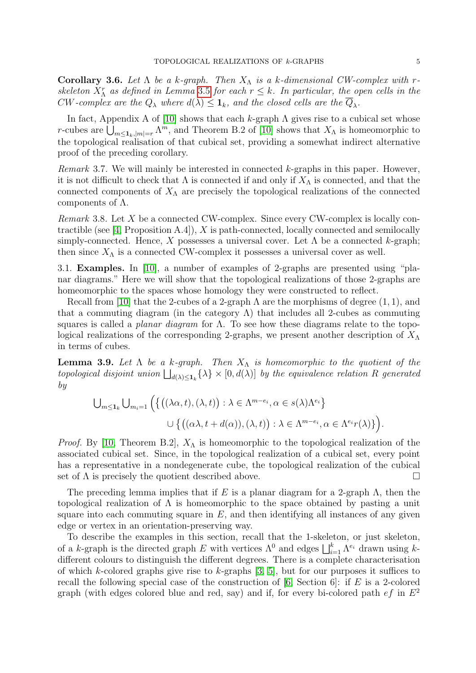**Corollary 3.6.** Let  $\Lambda$  be a k-graph. Then  $X_{\Lambda}$  is a k-dimensional CW-complex with rskeleton  $X_{\Lambda}^r$  as defined in Lemma [3.5](#page-5-0) for each  $r \leq k$ . In particular, the open cells in the CW-complex are the  $Q_{\lambda}$  where  $d(\lambda) \leq \mathbf{1}_k$ , and the closed cells are the  $Q_{\lambda}$ .

In fact, Appendix A of [\[10\]](#page-24-7) shows that each k-graph  $\Lambda$  gives rise to a cubical set whose r-cubes are  $\bigcup_{m\leq 1_k,|m|=r}\Lambda^m$ , and Theorem B.2 of [\[10\]](#page-24-7) shows that  $X_\Lambda$  is homeomorphic to the topological realisation of that cubical set, providing a somewhat indirect alternative proof of the preceding corollary.

Remark 3.7. We will mainly be interested in connected  $k$ -graphs in this paper. However, it is not difficult to check that  $\Lambda$  is connected if and only if  $X_{\Lambda}$  is connected, and that the connected components of  $X_{\Lambda}$  are precisely the topological realizations of the connected components of  $\Lambda$ .

Remark 3.8. Let X be a connected CW-complex. Since every CW-complex is locally con-tractible (see [\[4,](#page-23-2) Proposition A.4]), X is path-connected, locally connected and semilocally simply-connected. Hence, X possesses a universal cover. Let  $\Lambda$  be a connected k-graph; then since  $X_{\Lambda}$  is a connected CW-complex it possesses a universal cover as well.

3.1. Examples. In [\[10\]](#page-24-7), a number of examples of 2-graphs are presented using "planar diagrams." Here we will show that the topological realizations of those 2-graphs are homeomorphic to the spaces whose homology they were constructed to reflect.

Recall from [\[10\]](#page-24-7) that the 2-cubes of a 2-graph  $\Lambda$  are the morphisms of degree  $(1, 1)$ , and that a commuting diagram (in the category  $\Lambda$ ) that includes all 2-cubes as commuting squares is called a *planar diagram* for  $\Lambda$ . To see how these diagrams relate to the topological realizations of the corresponding 2-graphs, we present another description of  $X_\Lambda$ in terms of cubes.

**Lemma 3.9.** Let  $\Lambda$  be a k-graph. Then  $X_{\Lambda}$  is homeomorphic to the quotient of the topological disjoint union  $\bigsqcup_{d(\lambda)\leq 1_k} {\lambda} \times [0, d(\lambda)]$  by the equivalence relation R generated by

$$
\bigcup_{m \leq \mathbf{1}_k} \bigcup_{m_i=1} \Big( \big\{ \big( (\lambda \alpha, t), (\lambda, t) \big) : \lambda \in \Lambda^{m-e_i}, \alpha \in s(\lambda) \Lambda^{e_i} \big\} \cup \big\{ \big( (\alpha \lambda, t + d(\alpha)), (\lambda, t) \big) : \lambda \in \Lambda^{m-e_i}, \alpha \in \Lambda^{e_i} r(\lambda) \} \Big).
$$

*Proof.* By [\[10,](#page-24-7) Theorem B.2],  $X_{\Lambda}$  is homeomorphic to the topological realization of the associated cubical set. Since, in the topological realization of a cubical set, every point has a representative in a nondegenerate cube, the topological realization of the cubical set of  $\Lambda$  is precisely the quotient described above.

The preceding lemma implies that if E is a planar diagram for a 2-graph  $\Lambda$ , then the topological realization of  $\Lambda$  is homeomorphic to the space obtained by pasting a unit square into each commuting square in  $E$ , and then identifying all instances of any given edge or vertex in an orientation-preserving way.

To describe the examples in this section, recall that the 1-skeleton, or just skeleton, of a k-graph is the directed graph E with vertices  $\Lambda^0$  and edges  $\bigsqcup_{i=1}^k \Lambda^{e_i}$  drawn using kdifferent colours to distinguish the different degrees. There is a complete characterisation of which k-colored graphs give rise to k-graphs  $[3, 5]$  $[3, 5]$ , but for our purposes it suffices to recall the following special case of the construction of  $[6, Section 6]$ : if E is a 2-colored graph (with edges colored blue and red, say) and if, for every bi-colored path  $ef$  in  $E^2$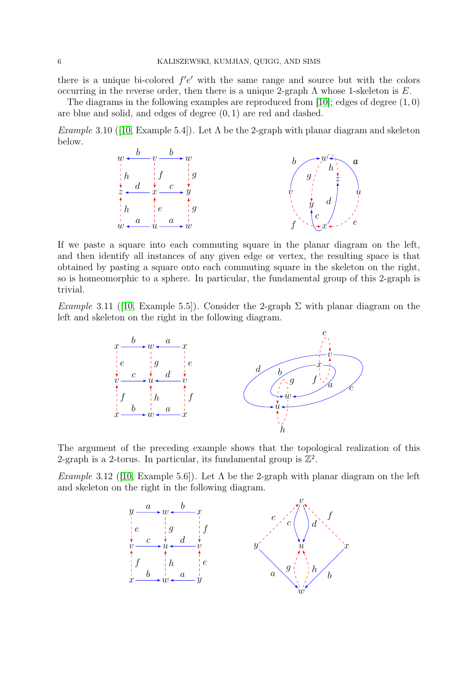there is a unique bi-colored  $f'e'$  with the same range and source but with the colors occurring in the reverse order, then there is a unique 2-graph  $\Lambda$  whose 1-skeleton is E.

The diagrams in the following examples are reproduced from [\[10\]](#page-24-7); edges of degree  $(1, 0)$ are blue and solid, and edges of degree (0, 1) are red and dashed.

<span id="page-7-0"></span>Example3.10 ([\[10,](#page-24-7) Example 5.4]). Let  $\Lambda$  be the 2-graph with planar diagram and skeleton below.



If we paste a square into each commuting square in the planar diagram on the left, and then identify all instances of any given edge or vertex, the resulting space is that obtained by pasting a square onto each commuting square in the skeleton on the right, so is homeomorphic to a sphere. In particular, the fundamental group of this 2-graph is trivial.

Example3.11 ([\[10,](#page-24-7) Example 5.5]). Consider the 2-graph  $\Sigma$  with planar diagram on the left and skeleton on the right in the following diagram.



The argument of the preceding example shows that the topological realization of this 2-graph is a 2-torus. In particular, its fundamental group is  $\mathbb{Z}^2$ .

<span id="page-7-1"></span>Example3.12 ([\[10,](#page-24-7) Example 5.6]). Let  $\Lambda$  be the 2-graph with planar diagram on the left and skeleton on the right in the following diagram.

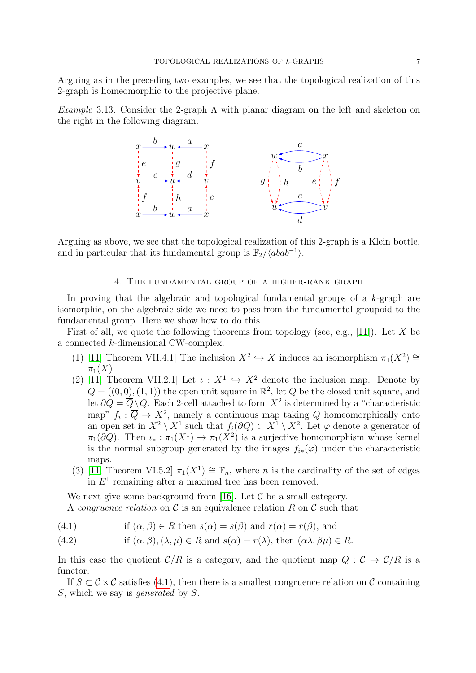Arguing as in the preceding two examples, we see that the topological realization of this 2-graph is homeomorphic to the projective plane.

<span id="page-8-1"></span>Example 3.13. Consider the 2-graph  $\Lambda$  with planar diagram on the left and skeleton on the right in the following diagram.



Arguing as above, we see that the topological realization of this 2-graph is a Klein bottle, and in particular that its fundamental group is  $\mathbb{F}_2/\langle abab^{-1} \rangle$ .

### 4. The fundamental group of a higher-rank graph

In proving that the algebraic and topological fundamental groups of a k-graph are isomorphic, on the algebraic side we need to pass from the fundamental groupoid to the fundamental group. Here we show how to do this.

First of all, we quote the following theorems from topology (see, e.g., [\[11\]](#page-24-8)). Let X be a connected k-dimensional CW-complex.

- (1) [\[11,](#page-24-8) Theorem VII.4.1] The inclusion  $X^2 \hookrightarrow X$  induces an isomorphism  $\pi_1(X^2) \cong$  $\pi_1(X)$ .
- (2) [\[11,](#page-24-8) Theorem VII.2.1] Let  $\iota : X^1 \hookrightarrow X^2$  denote the inclusion map. Denote by  $Q = ((0,0), (1, 1))$  the open unit square in  $\mathbb{R}^2$ , let  $\overline{Q}$  be the closed unit square, and let  $\partial Q = \overline{Q} \setminus Q$ . Each 2-cell attached to form  $X^2$  is determined by a "characteristic map"  $f_i : \overline{Q} \to X^2$ , namely a continuous map taking Q homeomorphically onto an open set in  $X^2 \setminus X^1$  such that  $f_i(\partial Q) \subset X^1 \setminus X^2$ . Let  $\varphi$  denote a generator of  $\pi_1(\partial Q)$ . Then  $\iota_* : \pi_1(X^1) \to \pi_1(X^2)$  is a surjective homomorphism whose kernel is the normal subgroup generated by the images  $f_{i*}(\varphi)$  under the characteristic maps.
- (3) [\[11,](#page-24-8) Theorem VI.5.2]  $\pi_1(X^1) \cong \mathbb{F}_n$ , where *n* is the cardinality of the set of edges in  $E<sup>1</sup>$  remaining after a maximal tree has been removed.

We next give some background from [\[16\]](#page-24-9). Let  $\mathcal C$  be a small category.

A *congruence relation* on  $\mathcal C$  is an equivalence relation R on  $\mathcal C$  such that

<span id="page-8-0"></span>(4.1) if 
$$
(\alpha, \beta) \in R
$$
 then  $s(\alpha) = s(\beta)$  and  $r(\alpha) = r(\beta)$ , and

(4.2) if 
$$
(\alpha, \beta), (\lambda, \mu) \in R
$$
 and  $s(\alpha) = r(\lambda)$ , then  $(\alpha \lambda, \beta \mu) \in R$ .

In this case the quotient  $C/R$  is a category, and the quotient map  $Q : C \to C/R$  is a functor.

If  $S \subset \mathcal{C} \times \mathcal{C}$  satisfies [\(4.1\)](#page-8-0), then there is a smallest congruence relation on  $\mathcal{C}$  containing S, which we say is generated by S.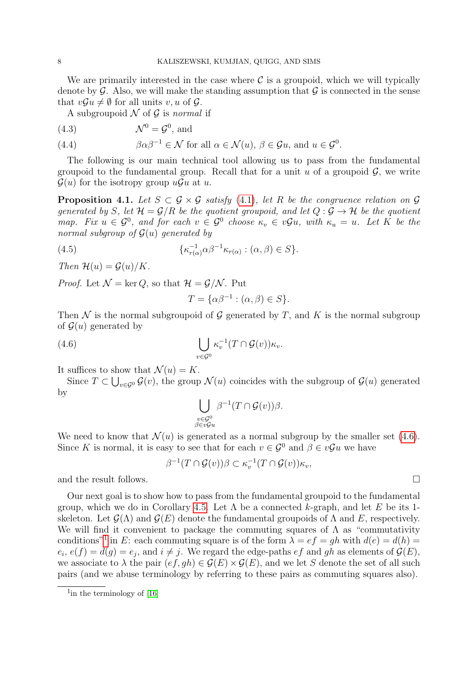We are primarily interested in the case where  $\mathcal C$  is a groupoid, which we will typically denote by  $\mathcal G$ . Also, we will make the standing assumption that  $\mathcal G$  is connected in the sense that  $vGu \neq \emptyset$  for all units v, u of G.

A subgroupoid  $\mathcal N$  of  $\mathcal G$  is normal if

$$
(4.3) \t\t \mathcal{N}^0 = \mathcal{G}^0, \text{ and}
$$

(4.4) 
$$
\beta \alpha \beta^{-1} \in \mathcal{N} \text{ for all } \alpha \in \mathcal{N}(u), \beta \in \mathcal{G}u, \text{ and } u \in \mathcal{G}^0.
$$

The following is our main technical tool allowing us to pass from the fundamental groupoid to the fundamental group. Recall that for a unit u of a groupoid  $\mathcal{G}$ , we write  $\mathcal{G}(u)$  for the isotropy group  $u\mathcal{G}u$  at u.

<span id="page-9-2"></span>**Proposition 4.1.** Let  $S \subset \mathcal{G} \times \mathcal{G}$  satisfy [\(4.1\)](#page-8-0), let R be the congruence relation on  $\mathcal{G}$ generated by S, let  $\mathcal{H} = \mathcal{G}/R$  be the quotient groupoid, and let  $Q : \mathcal{G} \to \mathcal{H}$  be the quotient map. Fix  $u \in \mathcal{G}^0$ , and for each  $v \in \mathcal{G}^0$  choose  $\kappa_v \in v\mathcal{G}u$ , with  $\kappa_u = u$ . Let K be the normal subgroup of  $G(u)$  generated by

(4.5) 
$$
\{\kappa_{r(\alpha)}^{-1}\alpha\beta^{-1}\kappa_{r(\alpha)} : (\alpha,\beta) \in S\}.
$$

Then  $\mathcal{H}(u) = \mathcal{G}(u)/K$ .

*Proof.* Let  $\mathcal{N} = \ker Q$ , so that  $\mathcal{H} = \mathcal{G}/\mathcal{N}$ . Put

<span id="page-9-0"></span>
$$
T = \{ \alpha \beta^{-1} : (\alpha, \beta) \in S \}.
$$

Then N is the normal subgroupoid of G generated by T, and K is the normal subgroup of  $\mathcal{G}(u)$  generated by

(4.6) 
$$
\bigcup_{v \in \mathcal{G}^0} \kappa_v^{-1}(T \cap \mathcal{G}(v)) \kappa_v.
$$

It suffices to show that  $\mathcal{N}(u) = K$ .

Since  $T \subset \bigcup_{v \in \mathcal{G}^0} \mathcal{G}(v)$ , the group  $\mathcal{N}(u)$  coincides with the subgroup of  $\mathcal{G}(u)$  generated by

$$
\bigcup_{\substack{v \in \mathcal{G}^0 \\ \beta \in v\mathcal{G}u}} \beta^{-1}(T \cap \mathcal{G}(v))\beta.
$$

We need to know that  $\mathcal{N}(u)$  is generated as a normal subgroup by the smaller set [\(4.6\)](#page-9-0). Since K is normal, it is easy to see that for each  $v \in \mathcal{G}^0$  and  $\beta \in v\mathcal{G}u$  we have

$$
\beta^{-1}(T \cap \mathcal{G}(v))\beta \subset \kappa_v^{-1}(T \cap \mathcal{G}(v))\kappa_v,
$$

and the result follows.  $\Box$ 

Our next goal is to show how to pass from the fundamental groupoid to the fundamental group, which we do in Corollary [4.5.](#page-11-0) Let  $\Lambda$  be a connected k-graph, and let E be its 1skeleton. Let  $\mathcal{G}(\Lambda)$  and  $\mathcal{G}(E)$  denote the fundamental groupoids of  $\Lambda$  and  $E$ , respectively. We will find it convenient to package the commuting squares of  $\Lambda$  as "commutativity" conditions<sup>"[1](#page-9-1)</sup> in E: each commuting square is of the form  $\lambda = ef = gh$  with  $d(e) = d(h)$  $e_i, e(f) = d(g) = e_j$ , and  $i \neq j$ . We regard the edge-paths  $ef$  and  $gh$  as elements of  $\mathcal{G}(E)$ , we associate to  $\lambda$  the pair  $(ef, gh) \in \mathcal{G}(E) \times \mathcal{G}(E)$ , and we let S denote the set of all such pairs (and we abuse terminology by referring to these pairs as commuting squares also).

<span id="page-9-1"></span> $1$ in the terminology of [\[16\]](#page-24-9)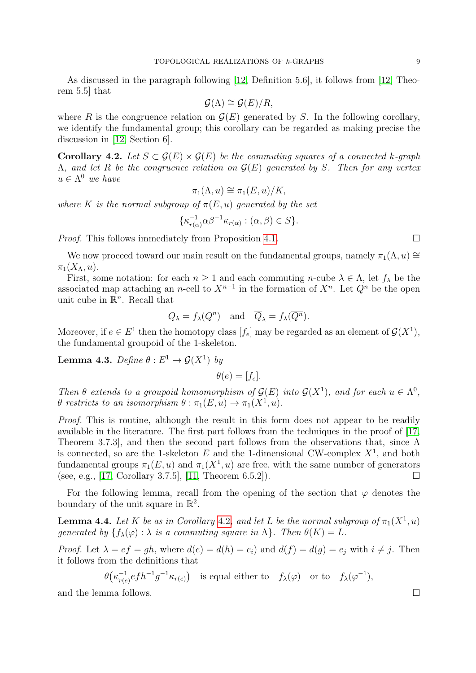As discussed in the paragraph following [\[12,](#page-24-3) Definition 5.6], it follows from [\[12,](#page-24-3) Theorem 5.5] that

$$
\mathcal{G}(\Lambda) \cong \mathcal{G}(E)/R,
$$

where R is the congruence relation on  $\mathcal{G}(E)$  generated by S. In the following corollary, we identify the fundamental group; this corollary can be regarded as making precise the discussion in [\[12,](#page-24-3) Section 6].

<span id="page-10-0"></span>Corollary 4.2. Let  $S \subset \mathcal{G}(E) \times \mathcal{G}(E)$  be the commuting squares of a connected k-graph  $\Lambda$ , and let R be the congruence relation on  $\mathcal{G}(E)$  generated by S. Then for any vertex  $u \in \Lambda^0$  we have

$$
\pi_1(\Lambda, u) \cong \pi_1(E, u)/K,
$$

where K is the normal subgroup of  $\pi(E, u)$  generated by the set

$$
\{\kappa_{r(\alpha)}^{-1}\alpha\beta^{-1}\kappa_{r(\alpha)} : (\alpha,\beta) \in S\}.
$$

*Proof.* This follows immediately from Proposition [4.1.](#page-9-2)

We now proceed toward our main result on the fundamental groups, namely  $\pi_1(\Lambda, u) \cong$  $\pi_1(X_\Lambda, u)$ .

First, some notation: for each  $n \ge 1$  and each commuting n-cube  $\lambda \in \Lambda$ , let  $f_{\lambda}$  be the associated map attaching an *n*-cell to  $X^{n-1}$  in the formation of  $X^n$ . Let  $Q^n$  be the open unit cube in  $\mathbb{R}^n$ . Recall that

$$
Q_{\lambda} = f_{\lambda}(Q^n)
$$
 and  $\overline{Q}_{\lambda} = f_{\lambda}(\overline{Q^n}).$ 

Moreover, if  $e \in E^1$  then the homotopy class  $[f_e]$  may be regarded as an element of  $\mathcal{G}(X^1)$ , the fundamental groupoid of the 1-skeleton.

<span id="page-10-1"></span>**Lemma 4.3.** Define  $\theta : E^1 \to \mathcal{G}(X^1)$  by

$$
\theta(e) = [f_e].
$$

Then  $\theta$  extends to a groupoid homomorphism of  $\mathcal{G}(E)$  into  $\mathcal{G}(X^1)$ , and for each  $u \in \Lambda^0$ ,  $\theta$  restricts to an isomorphism  $\theta : \pi_1(E, u) \to \pi_1(X^1, u)$ .

Proof. This is routine, although the result in this form does not appear to be readily available in the literature. The first part follows from the techniques in the proof of [\[17,](#page-24-10) Theorem 3.7.3], and then the second part follows from the observations that, since Λ is connected, so are the 1-skeleton E and the 1-dimensional CW-complex  $X^1$ , and both fundamental groups  $\pi_1(E, u)$  and  $\pi_1(X^1, u)$  are free, with the same number of generators (see, e.g., [\[17,](#page-24-10) Corollary 3.7.5], [\[11,](#page-24-8) Theorem 6.5.2]).

For the following lemma, recall from the opening of the section that  $\varphi$  denotes the boundary of the unit square in  $\mathbb{R}^2$ .

<span id="page-10-2"></span>**Lemma 4.4.** Let K be as in Corollary [4.2](#page-10-0), and let L be the normal subgroup of  $\pi_1(X^1, u)$ generated by  $\{f_{\lambda}(\varphi):\lambda \text{ is a commuting square in } \Lambda\}$ . Then  $\theta(K) = L$ .

*Proof.* Let  $\lambda = ef = gh$ , where  $d(e) = d(h) = e_i$  and  $d(f) = d(g) = e_i$  with  $i \neq j$ . Then it follows from the definitions that

> $\theta\left(\kappa_{r(e)}^{-1}\right)$  $\frac{1}{r(e)} e f h^{-1} g^{-1} \kappa_{r(e)}$  is equal either to  $f_{\lambda}(\varphi)$  or to  $f_{\lambda}(\varphi^{-1}),$

and the lemma follows.  $\Box$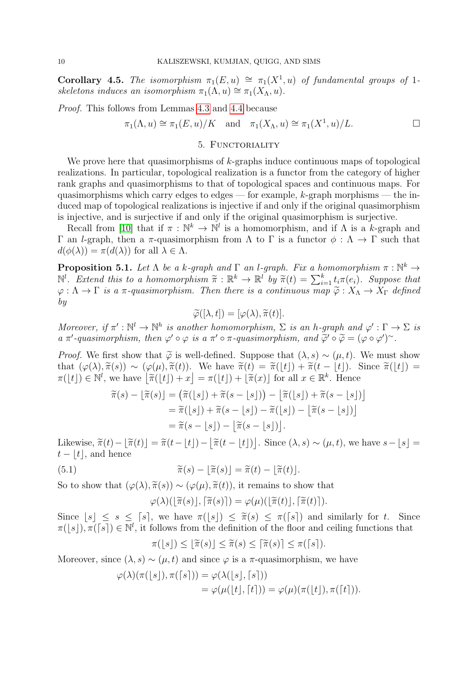<span id="page-11-0"></span>Corollary 4.5. The isomorphism  $\pi_1(E, u) \cong \pi_1(X^1, u)$  of fundamental groups of 1skeletons induces an isomorphism  $\pi_1(\Lambda, u) \cong \pi_1(X_\Lambda, u)$ .

Proof. This follows from Lemmas [4.3](#page-10-1) and [4.4](#page-10-2) because

$$
\pi_1(\Lambda, u) \cong \pi_1(E, u)/K
$$
 and  $\pi_1(X_{\Lambda}, u) \cong \pi_1(X^1, u)/L$ .

### 5. FUNCTORIALITY

We prove here that quasimorphisms of  $k$ -graphs induce continuous maps of topological realizations. In particular, topological realization is a functor from the category of higher rank graphs and quasimorphisms to that of topological spaces and continuous maps. For quasimorphisms which carry edges to edges — for example,  $k$ -graph morphisms — the induced map of topological realizations is injective if and only if the original quasimorphism is injective, and is surjective if and only if the original quasimorphism is surjective.

Recall from [\[10\]](#page-24-7) that if  $\pi : \mathbb{N}^k \to \mathbb{N}^l$  is a homomorphism, and if  $\Lambda$  is a k-graph and Γ an *l*-graph, then a π-quasimorphism from Λ to Γ is a functor  $\phi : \Lambda \to \Gamma$  such that  $d(\phi(\lambda)) = \pi(d(\lambda))$  for all  $\lambda \in \Lambda$ .

<span id="page-11-2"></span>**Proposition 5.1.** Let  $\Lambda$  be a k-graph and  $\Gamma$  an l-graph. Fix a homomorphism  $\pi : \mathbb{N}^k \to$  $\mathbb{N}^l$ . Extend this to a homomorphism  $\widetilde{\pi}: \mathbb{R}^k \to \mathbb{R}^l$  by  $\widetilde{\pi}(t) = \sum_{i=1}^k t_i \pi(e_i)$ . Suppose that  $\varphi : \Lambda \to \Gamma$  is a  $\pi$ -quasimorphism. Then there is a continuous map  $\widetilde{\varphi} : X_{\Lambda} \to X_{\Gamma}$  defined by

$$
\widetilde{\varphi}([\lambda, t]) = [\varphi(\lambda), \widetilde{\pi}(t)].
$$

Moreover, if  $\pi': \mathbb{N}^l \to \mathbb{N}^h$  is another homomorphism,  $\Sigma$  is an h-graph and  $\varphi': \Gamma \to \Sigma$  is a  $\pi'$ -quasimorphism, then  $\varphi' \circ \varphi$  is a  $\pi' \circ \pi$ -quasimorphism, and  $\widetilde{\varphi}' \circ \widetilde{\varphi} = (\varphi \circ \varphi')^{\sim}$ .

*Proof.* We first show that  $\tilde{\varphi}$  is well-defined. Suppose that  $(\lambda, s) \sim (\mu, t)$ . We must show that  $(\varphi(\lambda), \tilde{\pi}(s)) \sim (\varphi(\mu), \tilde{\pi}(t))$ . We have  $\tilde{\pi}(t) = \tilde{\pi}(|t|) + \tilde{\pi}(t - |t|)$ . Since  $\tilde{\pi}(|t|) =$  $\pi(\lfloor t \rfloor) \in \mathbb{N}^l$ , we have  $\lfloor \widetilde{\pi}(\lfloor t \rfloor) + x \rfloor = \pi(\lfloor t \rfloor) + \lfloor \widetilde{\pi}(x) \rfloor$  for all  $x \in \mathbb{R}^k$ . Hence

$$
\begin{aligned} \widetilde{\pi}(s) - \lfloor \widetilde{\pi}(s) \rfloor &= \left( \widetilde{\pi}(\lfloor s \rfloor) + \widetilde{\pi}(s - \lfloor s \rfloor) \right) - \lfloor \widetilde{\pi}(\lfloor s \rfloor) + \widetilde{\pi}(s - \lfloor s \rfloor) \rfloor \\ &= \widetilde{\pi}(\lfloor s \rfloor) + \widetilde{\pi}(s - \lfloor s \rfloor) - \widetilde{\pi}(\lfloor s \rfloor) - \lfloor \widetilde{\pi}(s - \lfloor s \rfloor) \rfloor \\ &= \widetilde{\pi}(s - \lfloor s \rfloor) - \lfloor \widetilde{\pi}(s - \lfloor s \rfloor) \rfloor. \end{aligned}
$$

Likewise,  $\tilde{\pi}(t) - [\tilde{\pi}(t)] = \tilde{\pi}(t - \lfloor t \rfloor) - [\tilde{\pi}(t - \lfloor t \rfloor)]$ . Since  $(\lambda, s) \sim (\mu, t)$ , we have  $s - \lfloor s \rfloor =$  $t - |t|$ , and hence

(5.1) 
$$
\widetilde{\pi}(s) - \lfloor \widetilde{\pi}(s) \rfloor = \widetilde{\pi}(t) - \lfloor \widetilde{\pi}(t) \rfloor.
$$

So to show that  $(\varphi(\lambda), \tilde{\pi}(s)) \sim (\varphi(\mu), \tilde{\pi}(t))$ , it remains to show that

<span id="page-11-1"></span>
$$
\varphi(\lambda)(\lfloor \widetilde{\pi}(s) \rfloor, \lceil \widetilde{\pi}(s) \rceil) = \varphi(\mu)(\lfloor \widetilde{\pi}(t) \rfloor, \lceil \widetilde{\pi}(t) \rceil).
$$

Since  $\lfloor s \rfloor \leq s \leq \lceil s \rceil$ , we have  $\pi(\lfloor s \rfloor) \leq \pi(s) \leq \pi(\lceil s \rceil)$  and similarly for t. Since  $\pi(\lfloor s \rfloor) \pi(\lceil s \rceil) \in \mathbb{N}^l$  it follows from the definition of the floor and colling functions that  $\pi([s])$ ,  $\pi([s]) \in \mathbb{N}^l$ , it follows from the definition of the floor and ceiling functions that

$$
\pi([s]) \leq [\widetilde{\pi}(s)] \leq \widetilde{\pi}(s) \leq [\widetilde{\pi}(s)] \leq \pi([s]).
$$

Moreover, since  $(\lambda, s) \sim (\mu, t)$  and since  $\varphi$  is a  $\pi$ -quasimorphism, we have

$$
\varphi(\lambda)(\pi([s]), \pi([s])) = \varphi(\lambda([s], [s]))
$$
  
= 
$$
\varphi(\mu([t], [t])) = \varphi(\mu)(\pi([t]), \pi([t])).
$$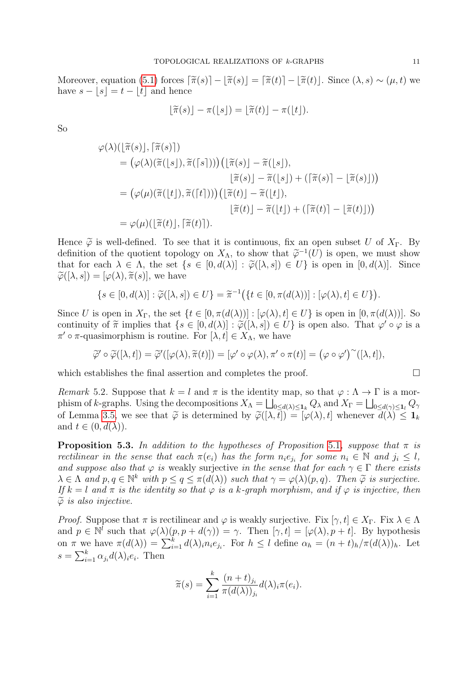Moreover, equation [\(5.1\)](#page-11-1) forces  $\lceil \tilde{\pi}(s) \rceil - \lfloor \tilde{\pi}(s) \rfloor = \lceil \tilde{\pi}(t) \rceil - \lfloor \tilde{\pi}(t) \rfloor$ . Since  $(\lambda, s) \sim (\mu, t)$  we have  $s - |s| = t - |t|$  and hence

$$
\lfloor \widetilde{\pi}(s) \rfloor - \pi(\lfloor s \rfloor) = \lfloor \widetilde{\pi}(t) \rfloor - \pi(\lfloor t \rfloor).
$$

So

$$
\varphi(\lambda)(\lfloor \widetilde{\pi}(s) \rfloor, \lceil \widetilde{\pi}(s) \rceil)
$$
\n
$$
= (\varphi(\lambda)(\widetilde{\pi}(\lfloor s \rfloor), \widetilde{\pi}(\lceil s \rceil))) (\lfloor \widetilde{\pi}(s) \rfloor - \widetilde{\pi}(\lfloor s \rfloor),
$$
\n
$$
\lfloor \widetilde{\pi}(s) \rfloor - \widetilde{\pi}(\lfloor s \rfloor) + (\lceil \widetilde{\pi}(s) \rceil - \lfloor \widetilde{\pi}(s) \rfloor))
$$
\n
$$
= (\varphi(\mu)(\widetilde{\pi}(\lfloor t \rfloor), \widetilde{\pi}(\lceil t \rceil))) (\lfloor \widetilde{\pi}(t) \rfloor - \widetilde{\pi}(\lfloor t \rfloor),
$$
\n
$$
\lfloor \widetilde{\pi}(t) \rfloor - \widetilde{\pi}(\lfloor t \rfloor) + (\lceil \widetilde{\pi}(t) \rceil - \lfloor \widetilde{\pi}(t) \rfloor))
$$
\n
$$
= \varphi(\mu)(\lfloor \widetilde{\pi}(t) \rfloor, \lceil \widetilde{\pi}(t) \rceil).
$$

Hence  $\tilde{\varphi}$  is well-defined. To see that it is continuous, fix an open subset U of  $X_{\Gamma}$ . By definition of the quotient topology on  $X_{\Lambda}$ , to show that  $\tilde{\varphi}^{-1}(U)$  is open, we must show<br>that for each  $\lambda \in \Lambda$ , the set  $\{s \in [0, d(\lambda)] : \tilde{\varphi}([0, s]) \in H\}$  is open in  $[0, d(\lambda)]$ . Since that for each  $\lambda \in \Lambda$ , the set  $\{s \in [0, d(\lambda)] : \widetilde{\varphi}([\lambda, s]) \in U\}$  is open in  $[0, d(\lambda)]$ . Since  $\widetilde{\varphi}([\lambda, s]) = [\varphi(\lambda), \widetilde{\pi}(s)],$  we have

$$
\{s \in [0, d(\lambda)] : \widetilde{\varphi}([\lambda, s]) \in U\} = \widetilde{\pi}^{-1}(\{t \in [0, \pi(d(\lambda))]: [\varphi(\lambda), t] \in U\}).
$$

Since U is open in  $X_{\Gamma}$ , the set  $\{t \in [0, \pi(d(\lambda))]: [\varphi(\lambda), t] \in U\}$  is open in  $[0, \pi(d(\lambda))]$ . So continuity of  $\tilde{\pi}$  implies that  $\{s \in [0, d(\lambda)] : \tilde{\varphi}([\lambda, s]) \in U\}$  is open also. That  $\varphi' \circ \varphi$  is a  $\pi' \circ \pi$  quasimorphism is routing. For  $[\lambda, t] \in X$ , we have  $\pi' \circ \pi$ -quasimorphism is routine. For  $[\lambda, t] \in X_{\Lambda}$ , we have

$$
\widetilde{\varphi}' \circ \widetilde{\varphi}([\lambda, t]) = \widetilde{\varphi}'([\varphi(\lambda), \widetilde{\pi}(t)]) = [\varphi' \circ \varphi(\lambda), \pi' \circ \pi(t)] = (\varphi \circ \varphi')^{\sim}([\lambda, t]),
$$

which establishes the final assertion and completes the proof.  $\Box$ 

Remark 5.2. Suppose that  $k = l$  and  $\pi$  is the identity map, so that  $\varphi : \Lambda \to \Gamma$  is a morphism of k-graphs. Using the decompositions  $X_{\Lambda} = \bigsqcup_{0 \leq d(\lambda) \leq \mathbf{1}_k} Q_{\lambda}$  and  $X_{\Gamma} = \bigsqcup_{0 \leq d(\gamma) \leq \mathbf{1}_l} Q_{\gamma}$ of Lemma [3.5,](#page-5-0) we see that  $\tilde{\varphi}$  is determined by  $\tilde{\varphi}([\lambda, t]) = [\varphi(\lambda), t]$  whenever  $\overline{d(\lambda)} \leq 1_k$ and  $t \in (0, d(\lambda))$ .

**Proposition 5.3.** In addition to the hypotheses of Proposition [5.1](#page-11-2), suppose that  $\pi$  is rectilinear in the sense that each  $\pi(e_i)$  has the form  $n_i e_{j_i}$  for some  $n_i \in \mathbb{N}$  and  $j_i \leq l$ , and suppose also that  $\varphi$  is weakly surjective in the sense that for each  $\gamma \in \Gamma$  there exists  $\lambda \in \Lambda$  and  $p, q \in \mathbb{N}^k$  with  $p \leq q \leq \pi(d(\lambda))$  such that  $\gamma = \varphi(\lambda)(p, q)$ . Then  $\tilde{\varphi}$  is surjective.<br>If  $k - l$  and  $\pi$  is the identity so that  $\varphi$  is a k-graph morphism, and if  $\varphi$  is injective, then If  $k = l$  and  $\pi$  is the identity so that  $\varphi$  is a k-graph morphism, and if  $\varphi$  is injective, then  $\widetilde{\varphi}$  is also injective.

*Proof.* Suppose that  $\pi$  is rectilinear and  $\varphi$  is weakly surjective. Fix  $[\gamma, t] \in X_{\Gamma}$ . Fix  $\lambda \in \Lambda$ and  $p \in \mathbb{N}^l$  such that  $\varphi(\lambda)(p, p + d(\gamma)) = \gamma$ . Then  $[\gamma, t] = [\varphi(\lambda), p + t]$ . By hypothesis on  $\pi$  we have  $\pi(d(\lambda)) = \sum_{i=1}^k d(\lambda)_{i} n_i e_{j_i}$ . For  $h \leq l$  define  $\alpha_h = (n + t)_{h}/\pi(d(\lambda))_h$ . Let  $s = \sum_{i=1}^{k} \alpha_{j_i} d(\lambda)_{i} e_i$ . Then

$$
\widetilde{\pi}(s) = \sum_{i=1}^{k} \frac{(n+t)_{j_i}}{\pi(d(\lambda))_{j_i}} d(\lambda)_i \pi(e_i).
$$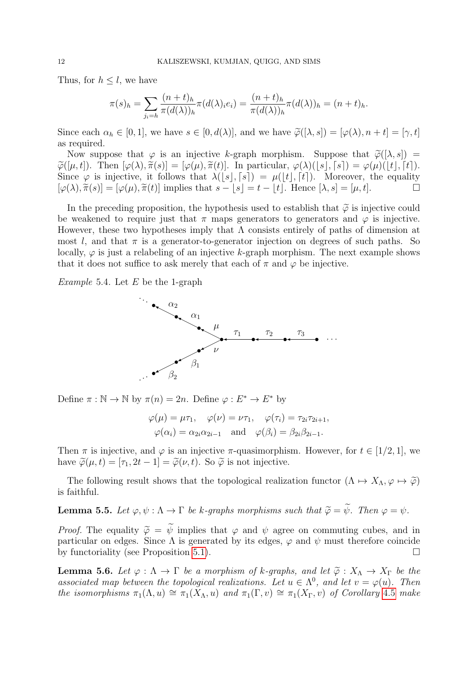Thus, for  $h \leq l$ , we have

$$
\pi(s)_h = \sum_{j_i=h} \frac{(n+t)_h}{\pi(d(\lambda))_h} \pi(d(\lambda)_i e_i) = \frac{(n+t)_h}{\pi(d(\lambda))_h} \pi(d(\lambda))_h = (n+t)_h.
$$

Since each  $\alpha_h \in [0,1]$ , we have  $s \in [0,d(\lambda)]$ , and we have  $\widetilde{\varphi}([\lambda,s]) = [\varphi(\lambda), n+t] = [\gamma,t]$ as required.

Now suppose that  $\varphi$  is an injective k-graph morphism. Suppose that  $\tilde{\varphi}([\lambda, s]) =$  $\widetilde{\varphi}([\mu, t])$ . Then  $[\varphi(\lambda), \widetilde{\pi}(s)] = [\varphi(\mu), \widetilde{\pi}(t)]$ . In particular,  $\varphi(\lambda)(\lfloor s \rfloor, \lceil s \rceil) = \varphi(\mu)(\lfloor t \rfloor, \lceil t \rceil)$ . Since  $\varphi$  is injective, it follows that  $\lambda([s], [s]) = \mu([t], [t])$ . Moreover, the equality  $[\varphi(\lambda), \tilde{\pi}(s)] = [\varphi(\mu), \tilde{\pi}(t)]$  implies that  $s - |s| = t - |t|$ . Hence  $[\lambda, s] = [\mu, t]$ .

In the preceding proposition, the hypothesis used to establish that  $\tilde{\varphi}$  is injective could be weakened to require just that  $\pi$  maps generators to generators and  $\varphi$  is injective. However, these two hypotheses imply that  $\Lambda$  consists entirely of paths of dimension at most l, and that  $\pi$  is a generator-to-generator injection on degrees of such paths. So locally,  $\varphi$  is just a relabeling of an injective k-graph morphism. The next example shows that it does not suffice to ask merely that each of  $\pi$  and  $\varphi$  be injective.

*Example* 5.4. Let  $E$  be the 1-graph



Define  $\pi : \mathbb{N} \to \mathbb{N}$  by  $\pi(n) = 2n$ . Define  $\varphi : E^* \to E^*$  by

$$
\varphi(\mu) = \mu \tau_1, \quad \varphi(\nu) = \nu \tau_1, \quad \varphi(\tau_i) = \tau_{2i} \tau_{2i+1},
$$

$$
\varphi(\alpha_i) = \alpha_{2i} \alpha_{2i-1} \quad \text{and} \quad \varphi(\beta_i) = \beta_{2i} \beta_{2i-1}.
$$

Then  $\pi$  is injective, and  $\varphi$  is an injective  $\pi$ -quasimorphism. However, for  $t \in [1/2, 1]$ , we have  $\widetilde{\varphi}(\mu, t) = [\tau_1, 2t - 1] = \widetilde{\varphi}(\nu, t)$ . So  $\widetilde{\varphi}$  is not injective.

The following result shows that the topological realization functor  $(\Lambda \mapsto X_{\Lambda}, \varphi \mapsto \tilde{\varphi})$ is faithful.

<span id="page-13-1"></span>**Lemma 5.5.** Let  $\varphi, \psi : \Lambda \to \Gamma$  be k-graphs morphisms such that  $\widetilde{\varphi} = \widetilde{\psi}$ . Then  $\varphi = \psi$ .

*Proof.* The equality  $\tilde{\varphi} = \tilde{\psi}$  implies that  $\varphi$  and  $\psi$  agree on commuting cubes, and in particular on edges. Since  $\Lambda$  is generated by its edges,  $\varphi$  and  $\psi$  must therefore coincide by functoriality (see Proposition [5.1\)](#page-11-2).

<span id="page-13-0"></span>**Lemma 5.6.** Let  $\varphi : \Lambda \to \Gamma$  be a morphism of k-graphs, and let  $\tilde{\varphi} : X_{\Lambda} \to X_{\Gamma}$  be the associated map between the topological realizations. Let  $u \in \Lambda^0$ , and let  $v = \varphi(u)$ . Then the isomorphisms  $\pi_1(\Lambda, u) \cong \pi_1(X_\Lambda, u)$  and  $\pi_1(\Gamma, v) \cong \pi_1(X_\Gamma, v)$  of Corollary [4.5](#page-11-0) make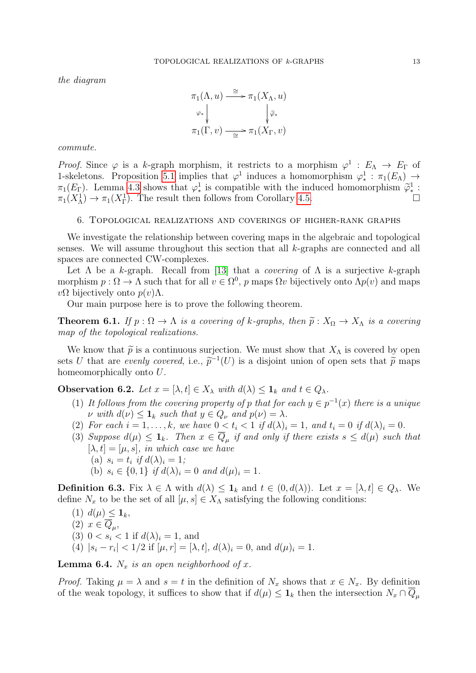the diagram



commute.

*Proof.* Since  $\varphi$  is a k-graph morphism, it restricts to a morphism  $\varphi^1 : E_\Lambda \to E_\Gamma$  of 1-skeletons. Proposition [5.1](#page-11-2) implies that  $\varphi^1$  induces a homomorphism  $\varphi_*^1 : \pi_1(E_\Lambda) \to$  $\pi_1(E_{\Gamma})$ . Lemma [4.3](#page-10-1) shows that  $\varphi^1_*$  is compatible with the induced homomorphism  $\widetilde{\varphi}^1_*$ :<br> $\pi_*(X^1) \to \pi_*(X^1)$ . The result then follows from Corollary 4.5  $\pi_1(X^1_\Lambda) \to \pi_1(X^1_\Gamma)$ . The result then follows from Corollary [4.5.](#page-11-0)

#### 6. Topological realizations and coverings of higher-rank graphs

We investigate the relationship between covering maps in the algebraic and topological senses. We will assume throughout this section that all k-graphs are connected and all spaces are connected CW-complexes.

Let  $\Lambda$  be a k-graph. Recall from [\[13\]](#page-24-4) that a *covering* of  $\Lambda$  is a surjective k-graph morphism  $p: \Omega \to \Lambda$  such that for all  $v \in \Omega^0$ , p maps  $\Omega v$  bijectively onto  $\Lambda p(v)$  and maps  $vΩ$  bijectively onto  $p(v)Λ$ .

Our main purpose here is to prove the following theorem.

<span id="page-14-1"></span>**Theorem 6.1.** If  $p : \Omega \to \Lambda$  is a covering of k-graphs, then  $\tilde{p} : X_{\Omega} \to X_{\Lambda}$  is a covering map of the topological realizations.

We know that  $\tilde{p}$  is a continuous surjection. We must show that  $X_{\Lambda}$  is covered by open sets U that are evenly covered, i.e.,  $\tilde{p}^{-1}(U)$  is a disjoint union of open sets that  $\tilde{p}$  maps<br>homoomorphically onto U homeomorphically onto U.

<span id="page-14-0"></span>**Observation 6.2.** Let  $x = [\lambda, t] \in X_\lambda$  with  $d(\lambda) \leq \mathbf{1}_k$  and  $t \in Q_\lambda$ .

- (1) It follows from the covering property of p that for each  $y \in p^{-1}(x)$  there is a unique  $\nu \text{ with } d(\nu) \leq \mathbf{1}_k \text{ such that } y \in Q_{\nu} \text{ and } p(\nu) = \lambda.$
- (2) For each  $i = 1, ..., k$ , we have  $0 < t_i < 1$  if  $d(\lambda)_i = 1$ , and  $t_i = 0$  if  $d(\lambda)_i = 0$ .
- (3) Suppose  $d(\mu) \leq \mathbf{1}_k$ . Then  $x \in Q_\mu$  if and only if there exists  $s \leq d(\mu)$  such that  $[\lambda, t] = [\mu, s]$ , in which case we have
	- (a)  $s_i = t_i$  if  $d(\lambda)_i = 1$ ;
	- (b)  $s_i \in \{0,1\}$  if  $d(\lambda)_i = 0$  and  $d(\mu)_i = 1$ .

**Definition 6.3.** Fix  $\lambda \in \Lambda$  with  $d(\lambda) \leq \mathbf{1}_k$  and  $t \in (0, d(\lambda))$ . Let  $x = [\lambda, t] \in Q_{\lambda}$ . We define  $N_x$  to be the set of all  $[\mu, s] \in X_\Lambda$  satisfying the following conditions:

(1)  $d(\mu) \leq \mathbf{1}_k$ ,

$$
(2) \, x \in \overline{Q}_{\mu},
$$

- (3)  $0 < s_i < 1$  if  $d(\lambda)_i = 1$ , and
- (4)  $|s_i r_i| < 1/2$  if  $[\mu, r] = [\lambda, t], d(\lambda)_i = 0$ , and  $d(\mu)_i = 1$ .

<span id="page-14-2"></span>**Lemma 6.4.**  $N_x$  is an open neighborhood of x.

*Proof.* Taking  $\mu = \lambda$  and  $s = t$  in the definition of  $N_x$  shows that  $x \in N_x$ . By definition of the weak topology, it suffices to show that if  $d(\mu) \leq \mathbf{1}_k$  then the intersection  $N_x \cap \overline{Q}_\mu$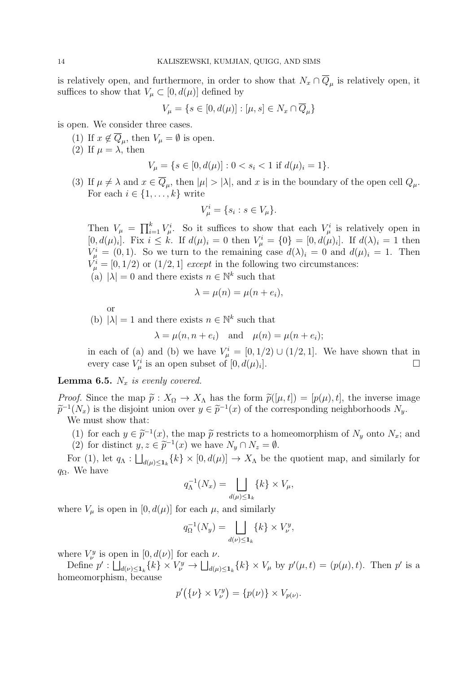is relatively open, and furthermore, in order to show that  $N_x \cap \overline{Q}_\mu$  is relatively open, it suffices to show that  $V_{\mu} \subset [0, d(\mu)]$  defined by

$$
V_{\mu} = \{ s \in [0, d(\mu)] : [\mu, s] \in N_x \cap \overline{Q}_{\mu} \}
$$

is open. We consider three cases.

- (1) If  $x \notin \overline{Q}_{\mu}$ , then  $V_{\mu} = \emptyset$  is open.
- (2) If  $\mu = \lambda$ , then

$$
V_{\mu} = \{ s \in [0, d(\mu)] : 0 < s_i < 1 \text{ if } d(\mu)_i = 1 \}.
$$

(3) If  $\mu \neq \lambda$  and  $x \in Q_{\mu}$ , then  $|\mu| > |\lambda|$ , and x is in the boundary of the open cell  $Q_{\mu}$ . For each  $i \in \{1, \ldots, k\}$  write

$$
V^i_\mu = \{s_i : s \in V_\mu\}.
$$

Then  $V_{\mu} = \prod_{i=1}^{k} V_{\mu}^{i}$ . So it suffices to show that each  $V_{\mu}^{i}$  is relatively open in [0,  $d(\mu)_i$ ]. Fix  $i \leq k$ . If  $d(\mu)_i = 0$  then  $V^i_\mu = \{0\} = [0, d(\mu)_i]$ . If  $d(\lambda)_i = 1$  then  $V^i_\mu = (0, 1)$ . So we turn to the remaining case  $d(\lambda)_i = 0$  and  $d(\mu)_i = 1$ . Then  $V^i_\mu = [0, 1/2)$  or  $(1/2, 1]$  except in the following two circumstances:

(a)  $|\lambda| = 0$  and there exists  $n \in \mathbb{N}^k$  such that

$$
\lambda = \mu(n) = \mu(n + e_i),
$$

(b)  $|\lambda| = 1$  and there exists  $n \in \mathbb{N}^k$  such that

$$
\lambda = \mu(n, n + e_i)
$$
 and  $\mu(n) = \mu(n + e_i);$ 

in each of (a) and (b) we have  $V^i_\mu = [0, 1/2) \cup (1/2, 1]$ . We have shown that in every case  $V^i_\mu$  is an open subset of  $[0, d(\mu)_i]$ ].

<span id="page-15-0"></span>**Lemma 6.5.**  $N_x$  is evenly covered.

or

*Proof.* Since the map  $\tilde{p}: X_{\Omega} \to X_{\Lambda}$  has the form  $\tilde{p}([\mu, t]) = [p(\mu), t]$ , the inverse image  $\tilde{p}^{-1}(N_x)$  is the disjoint union over  $y \in \tilde{p}^{-1}(x)$  of the corresponding neighborhoods  $N_y$ .<br>We must show that: We must show that:

- (1) for each  $y \in \tilde{p}^{-1}(x)$ , the map  $\tilde{p}$  restricts to a homeomorphism of  $N_y$  onto  $N_x$ ; and (2) for distinct  $y \in \tilde{p}^{-1}(x)$  we have  $N \cap N = \emptyset$
- (2) for distinct  $y, z \in \tilde{p}^{-1}(x)$  we have  $N_y \cap N_z = \emptyset$ .

For (1), let  $q_{\Lambda} : \bigsqcup_{d(\mu) \leq 1_k} \{k\} \times [0, d(\mu)] \to X_{\Lambda}$  be the quotient map, and similarly for  $q_{\Omega}$ . We have

$$
q_{\Lambda}^{-1}(N_x) = \bigsqcup_{d(\mu)\leq \mathbf{1}_k} \{k\} \times V_{\mu},
$$

where  $V_{\mu}$  is open in  $[0, d(\mu)]$  for each  $\mu$ , and similarly

$$
q_{\Omega}^{-1}(N_y) = \bigsqcup_{d(\nu)\leq \mathbf{1}_k} \{k\} \times V_{\nu}^y,
$$

where  $V_{\nu}^{y}$  is open in  $[0, d(\nu)]$  for each  $\nu$ .

Define  $p': \bigsqcup_{d(\nu)\leq 1_k} \{k\} \times V^y_\nu \to \bigsqcup_{d(\mu)\leq 1_k} \{k\} \times V_\mu$  by  $p'(\mu, t) = (p(\mu), t)$ . Then  $p'$  is a homeomorphism, because

$$
p'(\{\nu\} \times V^y_{\nu}) = \{p(\nu)\} \times V_{p(\nu)}.
$$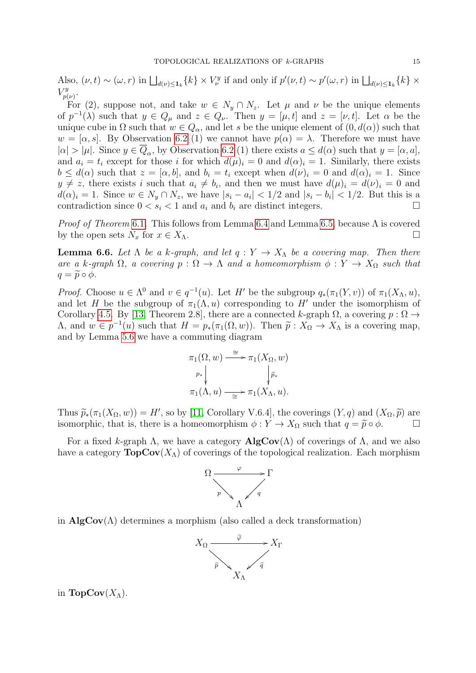Also,  $(\nu, t) \sim (\omega, r)$  in  $\bigsqcup_{d(\nu) \leq \mathbf{1}_k} \{k\} \times V^y_\nu$  if and only if  $p'(\nu, t) \sim p'(\omega, r)$  in  $\bigsqcup_{d(\nu) \leq \mathbf{1}_k} \{k\} \times$  $V^y_{\eta}$  $_{p(\nu )}^{ry}.$ 

For (2), suppose not, and take  $w \in N_y \cap N_z$ . Let  $\mu$  and  $\nu$  be the unique elements of  $p^{-1}(\lambda)$  such that  $y \in Q_{\mu}$  and  $z \in Q_{\nu}$ . Then  $y = [\mu, t]$  and  $z = [\nu, t]$ . Let  $\alpha$  be the unique cube in  $\Omega$  such that  $w \in Q_{\alpha}$ , and let s be the unique element of  $(0, d(\alpha))$  such that  $w = [\alpha, s]$ . By Observation [6.2](#page-14-0) (1) we cannot have  $p(\alpha) = \lambda$ . Therefore we must have  $|\alpha| > |\mu|$ . Since  $y \in \overline{Q}_{\alpha}$ , by Observation [6.2](#page-14-0) (1) there exists  $a \leq d(\alpha)$  such that  $y = [\alpha, a]$ , and  $a_i = t_i$  except for those i for which  $d(\mu)_i = 0$  and  $d(\alpha)_i = 1$ . Similarly, there exists  $b \leq d(\alpha)$  such that  $z = [\alpha, b]$ , and  $b_i = t_i$  except when  $d(\nu)_i = 0$  and  $d(\alpha)_i = 1$ . Since  $y \neq z$ , there exists i such that  $a_i \neq b_i$ , and then we must have  $d(\mu)_i = d(\nu)_i = 0$  and  $d(\alpha)_i = 1$ . Since  $w \in N_y \cap N_z$ , we have  $|s_i - a_i| < 1/2$  and  $|s_i - b_i| < 1/2$ . But this is a contradiction since  $0 < s_i < 1$  and  $a_i$  and  $b_i$  are distinct integers.

*Proof of Theorem* [6.1](#page-14-1). This follows from Lemma [6.4](#page-14-2) and Lemma [6.5,](#page-15-0) because  $\Lambda$  is covered by the open sets  $N_x$  for  $x \in X_\Lambda$ .

<span id="page-16-0"></span>**Lemma 6.6.** Let  $\Lambda$  be a k-graph, and let  $q: Y \to X_{\Lambda}$  be a covering map. Then there are a k-graph  $\Omega$ , a covering  $p : \Omega \to \Lambda$  and a homeomorphism  $\phi : Y \to X_{\Omega}$  such that  $q = \widetilde{p} \circ \phi$ .

*Proof.* Choose  $u \in \Lambda^0$  and  $v \in q^{-1}(u)$ . Let H' be the subgroup  $q_*(\pi_1(Y, v))$  of  $\pi_1(X_{\Lambda}, u)$ , and let H be the subgroup of  $\pi_1(\Lambda, u)$  corresponding to H' under the isomorphism of Corollary [4.5.](#page-11-0) By [\[13,](#page-24-4) Theorem 2.8], there are a connected k-graph  $\Omega$ , a covering  $p : \Omega \to$ A, and  $w ∈ p<sup>-1</sup>(u)$  such that  $H = p<sub>*</sub>(π<sub>1</sub>(Ω, w))$ . Then  $\tilde{p} : X<sub>Ω</sub> → X<sub>Λ</sub>$  is a covering map, and by Lemma [5.6](#page-13-0) we have a commuting diagram

$$
\pi_1(\Omega, w) \xrightarrow{\cong} \pi_1(X_{\Omega}, w)
$$
\n
$$
\downarrow p_* \qquad \qquad \downarrow \widetilde{p_*}
$$
\n
$$
\pi_1(\Lambda, u) \xrightarrow{\cong} \pi_1(X_{\Lambda}, u).
$$

Thus  $\widetilde{p}_*(\pi_1(X_{\Omega}, w)) = H'$ , so by [\[11,](#page-24-8) Corollary V.6.4], the coverings  $(Y, q)$  and  $(X_{\Omega}, \widetilde{p})$  are<br>isomorphic, that is, there is a homomorphism  $\phi: Y \to X_{\Omega}$  such that  $g = \widetilde{p} \circ \phi$ isomorphic, that is, there is a homeomorphism  $\phi: Y \to X_{\Omega}$  such that  $q = \widetilde{p} \circ \phi$ .

For a fixed k-graph  $\Lambda$ , we have a category  $\mathbf{AlgCov}(\Lambda)$  of coverings of  $\Lambda$ , and we also have a category  $\text{TopCov}(X_\Lambda)$  of coverings of the topological realization. Each morphism



in  $\mathbf{AlgCov}(\Lambda)$  determines a morphism (also called a deck transformation)



in **TopCov** $(X_\Lambda)$ .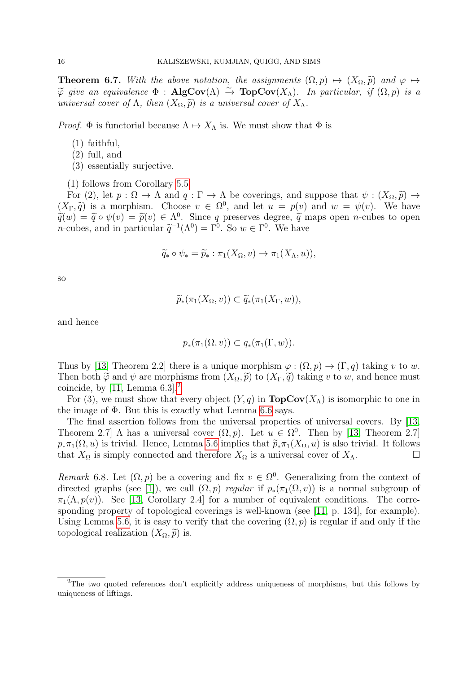**Theorem 6.7.** With the above notation, the assignments  $(\Omega, p) \mapsto (X_{\Omega}, \tilde{p})$  and  $\varphi \mapsto$  $\widetilde{\varphi}$  give an equivalence  $\Phi$  : AlgCov( $\Lambda$ )  $\stackrel{\sim}{\to}$  TopCov( $X_{\Lambda}$ ). In particular, if  $(\Omega, p)$  is a universal cover of  $\Lambda$ , then  $(X_{\Omega}, \tilde{p})$  is a universal cover of  $X_{\Lambda}$ .

*Proof.*  $\Phi$  is functorial because  $\Lambda \mapsto X_{\Lambda}$  is. We must show that  $\Phi$  is

- (1) faithful,
- (2) full, and
- (3) essentially surjective.

(1) follows from Corollary [5.5.](#page-13-1)

For (2), let  $p : \Omega \to \Lambda$  and  $q : \Gamma \to \Lambda$  be coverings, and suppose that  $\psi : (X_{\Omega}, \tilde{p}) \to$  $(X_{\Gamma}, \tilde{q})$  is a morphism. Choose  $v \in \Omega^0$ , and let  $u = p(v)$  and  $w = \psi(v)$ . We have  $\widetilde{q}(w) = \widetilde{q} \circ \psi(v) = \widetilde{p}(v) \in \Lambda^0$ . Since q preserves degree,  $\widetilde{q}$  maps open n-cubes to open n-cubes and in particular  $\widetilde{\sigma}^{-1}(\Lambda^0) - \Gamma^0$ . So  $w \in \Gamma^0$ . We have *n*-cubes, and in particular  $\tilde{q}^{-1}(\Lambda^0) = \Gamma^0$ . So  $w \in \Gamma^0$ . We have

$$
\widetilde{q}_* \circ \psi_* = \widetilde{p}_* : \pi_1(X_{\Omega}, v) \to \pi_1(X_{\Lambda}, u)),
$$

so

$$
\widetilde{p}_*(\pi_1(X_{\Omega}, v)) \subset \widetilde{q}_*(\pi_1(X_{\Gamma}, w)),
$$

and hence

$$
p_*(\pi_1(\Omega, v)) \subset q_*(\pi_1(\Gamma, w)).
$$

Thus by [\[13,](#page-24-4) Theorem 2.2] there is a unique morphism  $\varphi : (\Omega, p) \to (\Gamma, q)$  taking v to w. Then both  $\tilde{\varphi}$  and  $\psi$  are morphisms from  $(X_{\Omega}, \tilde{p})$  to  $(X_{\Gamma}, \tilde{q})$  taking v to w, and hence must coincide, by [\[11,](#page-24-8) Lemma  $6.3$ ].<sup>[2](#page-17-0)</sup>

For (3), we must show that every object  $(Y, q)$  in  $\text{TopCov}(X_\Lambda)$  is isomorphic to one in the image of  $\Phi$ . But this is exactly what Lemma [6.6](#page-16-0) says.

The final assertion follows from the universal properties of universal covers. By [\[13,](#page-24-4) Theorem 2.7]  $\Lambda$  has a universal cover  $(\Omega, p)$ . Let  $u \in \Omega^0$ . Then by [\[13,](#page-24-4) Theorem 2.7]  $p_*\pi_1(\Omega, u)$  is trivial. Hence, Lemma [5.6](#page-13-0) implies that  $\widetilde{p}_*\pi_1(X_\Omega, u)$  is also trivial. It follows that  $X_\Omega$  is simply connected and therefore  $X_\Omega$  is a universal cover of  $X_\Lambda$ . that  $X_{\Omega}$  is simply connected and therefore  $X_{\Omega}$  is a universal cover of  $X_{\Lambda}$ .

Remark 6.8. Let  $(\Omega, p)$  be a covering and fix  $v \in \Omega^0$ . Generalizing from the context of directed graphs (see [\[1\]](#page-23-0)), we call  $(\Omega, p)$  regular if  $p_*(\pi_1(\Omega, v))$  is a normal subgroup of  $\pi_1(\Lambda, p(v))$ . See [\[13,](#page-24-4) Corollary 2.4] for a number of equivalent conditions. The corresponding property of topological coverings is well-known (see [\[11,](#page-24-8) p. 134], for example). Using Lemma [5.6,](#page-13-0) it is easy to verify that the covering  $(\Omega, p)$  is regular if and only if the topological realization  $(X_{\Omega}, \tilde{p})$  is.

<span id="page-17-0"></span><sup>&</sup>lt;sup>2</sup>The two quoted references don't explicitly address uniqueness of morphisms, but this follows by uniqueness of liftings.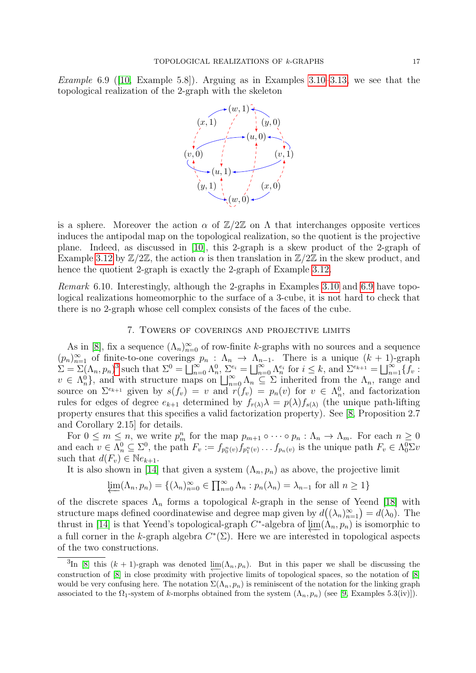<span id="page-18-0"></span>Example 6.9([\[10,](#page-24-7) Example 5.8]). Arguing as in Examples [3.10–](#page-7-0)[3.13,](#page-8-1) we see that the topological realization of the 2-graph with the skeleton



is a sphere. Moreover the action  $\alpha$  of  $\mathbb{Z}/2\mathbb{Z}$  on  $\Lambda$  that interchanges opposite vertices induces the antipodal map on the topological realization, so the quotient is the projective plane. Indeed, as discussed in [\[10\]](#page-24-7), this 2-graph is a skew product of the 2-graph of Example [3.12](#page-7-1) by  $\mathbb{Z}/2\mathbb{Z}$ , the action  $\alpha$  is then translation in  $\mathbb{Z}/2\mathbb{Z}$  in the skew product, and hence the quotient 2-graph is exactly the 2-graph of Example [3.12.](#page-7-1)

Remark 6.10. Interestingly, although the 2-graphs in Examples [3.10](#page-7-0) and [6.9](#page-18-0) have topological realizations homeomorphic to the surface of a 3-cube, it is not hard to check that there is no 2-graph whose cell complex consists of the faces of the cube.

#### 7. Towers of coverings and projective limits

As in [\[8\]](#page-24-11), fix a sequence  $(\Lambda_n)_{n=0}^{\infty}$  of row-finite k-graphs with no sources and a sequence  $(p_n)_{n=1}^{\infty}$  of finite-to-one coverings  $p_n : \Lambda_n \to \Lambda_{n-1}$ . There is a unique  $(k+1)$ -graph  $\Sigma = \Sigma (\Lambda_n, p_n)^3$  $\Sigma = \Sigma (\Lambda_n, p_n)^3$  such that  $\Sigma^0 = \bigsqcup_{n=0}^{\infty} \Lambda_n^0$ ,  $\Sigma_{i}^{e_i} = \bigsqcup_{n=0}^{\infty} \Lambda_n^{e_i}$  for  $i \leq k$ , and  $\Sigma^{e_{k+1}} = \bigsqcup_{n=1}^{\infty} \{f_v :$  $v \in \Lambda_n^0$ , and with structure maps on  $\bigsqcup_{n=0}^{\infty} \Lambda_n \subseteq \Sigma$  inherited from the  $\Lambda_n$ , range and source on  $\Sigma^{e_{k+1}}$  given by  $s(f_v) = v$  and  $r(f_v) = p_n(v)$  for  $v \in \Lambda_n^0$ , and factorization rules for edges of degree  $e_{k+1}$  determined by  $f_{r(\lambda)}\lambda = p(\lambda)f_{s(\lambda)}$  (the unique path-lifting property ensures that this specifies a valid factorization property). See [\[8,](#page-24-11) Proposition 2.7 and Corollary 2.15] for details.

For  $0 \leq m \leq n$ , we write  $p_m^n$  for the map  $p_{m+1} \circ \cdots \circ p_n : \Lambda_n \to \Lambda_m$ . For each  $n \geq 0$ and each  $v \in \Lambda_n^0 \subseteq \Sigma^0$ , the path  $F_v := f_{p_0^n(v)} f_{p_1^n(v)} \dots f_{p_n(v)}$  is the unique path  $F_v \in \Lambda_0^0 \Sigma v$ such that  $d(F_v) \in Ne_{k+1}$ .

It is also shown in [\[14\]](#page-24-6) that given a system  $(\Lambda_n, p_n)$  as above, the projective limit

$$
\varprojlim(\Lambda_n, p_n) = \{ (\lambda_n)_{n=0}^{\infty} \in \prod_{n=0}^{\infty} \Lambda_n : p_n(\lambda_n) = \lambda_{n-1} \text{ for all } n \ge 1 \}
$$

of the discrete spaces  $\Lambda_n$  forms a topological k-graph in the sense of Yeend [\[18\]](#page-24-5) with structure maps defined coordinatewise and degree map given by  $d((\lambda_n)_{n=1}^{\infty}) = d(\lambda_0)$ . The thrust in [\[14\]](#page-24-6) is that Yeend's topological-graph  $C^*$ -algebra of  $\varprojlim(\Lambda_n, p_n)$  is isomorphic to a full corner in the k-graph algebra  $C^*(\Sigma)$ . Here we are interested in topological aspects of the two constructions.

<span id="page-18-1"></span><sup>&</sup>lt;sup>3</sup>In [\[8\]](#page-24-11) this  $(k + 1)$ -graph was denoted  $\lim_{n \to \infty} (\Lambda_n, p_n)$ . But in this paper we shall be discussing the construction of [\[8\]](#page-24-11) in close proximity with projective limits of topological spaces, so the notation of [\[8\]](#page-24-11) would be very confusing here. The notation  $\Sigma(\Lambda_n, p_n)$  is reminiscent of the notation for the linking graph associated to the  $\Omega_1$ -system of k-morphs obtained from the system  $(\Lambda_n, p_n)$  (see [\[9,](#page-24-12) Examples 5.3(iv)]).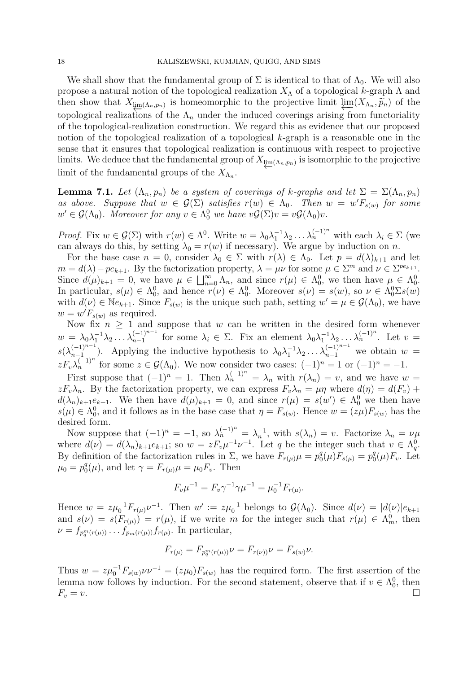We shall show that the fundamental group of  $\Sigma$  is identical to that of  $\Lambda_0$ . We will also propose a natural notion of the topological realization  $X_{\Lambda}$  of a topological k-graph  $\Lambda$  and then show that  $X_{\lim(\Lambda_n,p_n)}$  is homeomorphic to the projective limit  $\lim_{\Lambda_n\to\infty}(X_{\Lambda_n},\widetilde{p}_n)$  of the topological realizations of the  $\Lambda_n$  under the induced coverings arising from functoriality of the topological-realization construction. We regard this as evidence that our proposed notion of the topological realization of a topological k-graph is a reasonable one in the sense that it ensures that topological realization is continuous with respect to projective limits. We deduce that the fundamental group of  $X_{\underline{\text{im}}(\Lambda_n,p_n)}$  is isomorphic to the projective limit of the fundamental groups of the  $X_{\Lambda_n}$ .

**Lemma 7.1.** Let  $(\Lambda_n, p_n)$  be a system of coverings of k-graphs and let  $\Sigma = \Sigma(\Lambda_n, p_n)$ as above. Suppose that  $w \in \mathcal{G}(\Sigma)$  satisfies  $r(w) \in \Lambda_0$ . Then  $w = w'F_{s(w)}$  for some  $w' \in \mathcal{G}(\Lambda_0)$ . Moreover for any  $v \in \Lambda_0^0$  we have  $v\mathcal{G}(\Sigma)v = v\mathcal{G}(\Lambda_0)v$ .

*Proof.* Fix  $w \in \mathcal{G}(\Sigma)$  with  $r(w) \in \Lambda^0$ . Write  $w = \lambda_0 \lambda_1^{-1} \lambda_2 \ldots \lambda_n^{(-1)^n}$  with each  $\lambda_i \in \Sigma$  (we can always do this, by setting  $\lambda_0 = r(w)$  if necessary). We argue by induction on n.

For the base case  $n = 0$ , consider  $\lambda_0 \in \Sigma$  with  $r(\lambda) \in \Lambda_0$ . Let  $p = d(\lambda)_{k+1}$  and let  $m = d(\lambda) - pe_{k+1}$ . By the factorization property,  $\lambda = \mu \nu$  for some  $\mu \in \Sigma^m$  and  $\nu \in \Sigma^{pe_{k+1}}$ . Since  $d(\mu)_{k+1} = 0$ , we have  $\mu \in \bigsqcup_{n=0}^{\infty} \Lambda_n$ , and since  $r(\mu) \in \Lambda_0^0$ , we then have  $\mu \in \Lambda_0^0$ . In particular,  $s(\mu) \in \Lambda_0^0$ , and hence  $r(\nu) \in \Lambda_0^0$ . Moreover  $s(\nu) = s(w)$ , so  $\nu \in \Lambda_0^0 \Sigma s(w)$ with  $d(\nu) \in Ne_{k+1}$ . Since  $F_{s(w)}$  is the unique such path, setting  $w' = \mu \in \mathcal{G}(\Lambda_0)$ , we have  $w = w' F_{s(w)}$  as required.

Now fix  $n \geq 1$  and suppose that w can be written in the desired form whenever  $w = \lambda_0 \lambda_1^{-1} \lambda_2 \ldots \lambda_{n-1}^{(-1)^{n-1}}$  for some  $\lambda_i \in \Sigma$ . Fix an element  $\lambda_0 \lambda_1^{-1} \lambda_2 \ldots \lambda_n^{(-1)^n}$ . Let  $v =$  $s(\lambda_{n-1}^{(-1)^{n-1}})$  $_{n-1}^{(-1)^{n-1}}$ ). Applying the inductive hypothesis to  $\lambda_0\lambda_1^{-1}\lambda_2\ldots\lambda_{n-1}^{(-1)^{n-1}}$  we obtain  $w=$  $z F_v \lambda_n^{(-1)^n}$  for some  $z \in \mathcal{G}(\Lambda_0)$ . We now consider two cases:  $(-1)^n = 1$  or  $(-1)^n = -1$ .

First suppose that  $(-1)^n = 1$ . Then  $\lambda_n^{(-1)^n} = \lambda_n$  with  $r(\lambda_n) = v$ , and we have  $w =$  $zF_v\lambda_n$ . By the factorization property, we can express  $F_v\lambda_n = \mu\eta$  where  $d(\eta) = d(F_v) + d(F_v)$  $d(\lambda_n)_{k+1}e_{k+1}$ . We then have  $d(\mu)_{k+1}=0$ , and since  $r(\mu) = s(w') \in \Lambda_0^0$  we then have  $s(\mu) \in \Lambda_0^0$ , and it follows as in the base case that  $\eta = F_{s(w)}$ . Hence  $w = (z\mu)F_{s(w)}$  has the desired form.

Now suppose that  $(-1)^n = -1$ , so  $\lambda_n^{(-1)^n} = \lambda_n^{-1}$ , with  $s(\lambda_n) = v$ . Factorize  $\lambda_n = \nu \mu$ where  $d(\nu) = d(\lambda_n)_{k+1} e_{k+1}$ ; so  $w = z F_v \mu^{-1} \nu^{-1}$ . Let q be the integer such that  $v \in \Lambda_q^0$ . By definition of the factorization rules in  $\Sigma$ , we have  $F_{r(\mu)}\mu = p_0^4$  $p_0^q(\mu)F_{s(\mu)}=p_0^q$  $O_0^q(\mu)F_v$ . Let  $\mu_0^+ = p_0^q$  $\eta_0^q(\mu)$ , and let  $\gamma = F_{r(\mu)}\mu = \mu_0 F_v$ . Then

$$
F_v \mu^{-1} = F_v \gamma^{-1} \gamma \mu^{-1} = \mu_0^{-1} F_{r(\mu)}.
$$

Hence  $w = z\mu_0^{-1}F_{r(\mu)}\nu^{-1}$ . Then  $w' := z\mu_0^{-1}$  belongs to  $\mathcal{G}(\Lambda_0)$ . Since  $d(\nu) = |d(\nu)|e_{k+1}$ and  $s(\nu) = s(F_{r(\mu)}) = r(\mu)$ , if we write m for the integer such that  $r(\mu) \in \Lambda_m^0$ , then  $\nu = f_{p_q^m(r(\mu))} \dots f_{p_m(r(\mu))} f_{r(\mu)}$ . In particular,

$$
F_{r(\mu)} = F_{p_q^m(r(\mu))}\nu = F_{r(\nu))}\nu = F_{s(\nu)}\nu.
$$

Thus  $w = z\mu_0^{-1}F_{s(w)}\nu v^{-1} = (z\mu_0)F_{s(w)}$  has the required form. The first assertion of the lemma now follows by induction. For the second statement, observe that if  $v \in \Lambda_0^0$ , then  $F_v = v.$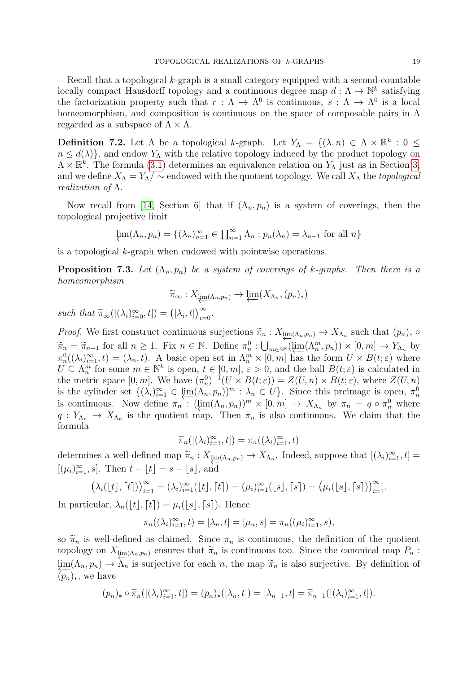Recall that a topological k-graph is a small category equipped with a second-countable locally compact Hausdorff topology and a continuous degree map  $d: \Lambda \to \mathbb{N}^k$  satisfying the factorization property such that  $r : \Lambda \to \Lambda^0$  is continuous,  $s : \Lambda \to \Lambda^0$  is a local homeomorphism, and composition is continuous on the space of composable pairs in Λ regarded as a subspace of  $\Lambda \times \Lambda$ .

**Definition 7.2.** Let  $\Lambda$  be a topological k-graph. Let  $Y_{\Lambda} = \{(\lambda, n) \in \Lambda \times \mathbb{R}^k : 0 \leq$  $n \leq d(\lambda)$ , and endow  $Y_{\Lambda}$  with the relative topology induced by the product topology on  $\Lambda \times \mathbb{R}^k$ . The formula [\(3.1\)](#page-4-2) determines an equivalence relation on  $Y_\Lambda$  just as in Section [3,](#page-4-3) and we define  $X_\Lambda = Y_\Lambda / \sim$  endowed with the quotient topology. We call  $X_\Lambda$  the topological realization of  $\Lambda$ .

Now recall from [\[14,](#page-24-6) Section 6] that if  $(\Lambda_n, p_n)$  is a system of coverings, then the topological projective limit

$$
\underleftarrow{\lim}(\Lambda_n, p_n) = \{ (\lambda_n)_{n=1}^{\infty} \in \prod_{n=1}^{\infty} \Lambda_n : p_n(\lambda_n) = \lambda_{n-1} \text{ for all } n \}
$$

is a topological k-graph when endowed with pointwise operations.

**Proposition 7.3.** Let  $(\Lambda_n, p_n)$  be a system of coverings of k-graphs. Then there is a homeomorphism

$$
\widetilde{\pi}_{\infty}: X_{\underset{\leftarrow}{\text{lim}}(\Lambda_n, p_n)} \to \underset{\leftarrow}{\text{lim}}(X_{\Lambda_n}, (p_n)_{*})
$$

such that  $\widetilde{\pi}_{\infty}([\lambda_i)_{i=0}^{\infty}, t]) = ([\lambda_i, t])_{i=0}^{\infty}$ .

Proof. We first construct continuous surjections  $\widetilde{\pi}_n : X_{\underline{\lim}(\Lambda_n, p_n)} \to X_{\Lambda_n}$  such that  $(p_n)_* \circ$  $\widetilde{\pi}_n = \widetilde{\pi}_{n-1}$  for all  $n \ge 1$ . Fix  $n \in \mathbb{N}$ . Define  $\pi_n^0 : \bigcup_{m \in \mathbb{N}^k} (\varprojlim(\Lambda_n^m, p_n)) \times [0, m] \to Y_{\Lambda_n}$  by  $\pi_n^0((\lambda_i)_{i=1}^\infty,t) = (\lambda_n,t)$ . A basic open set in  $\Lambda_n^m \times [0,m]$  has the form  $U \times B(t;\varepsilon)$  where  $U \subseteq \Lambda_n^m$  for some  $m \in \mathbb{N}^k$  is open,  $t \in [0, m], \varepsilon > 0$ , and the ball  $B(t; \varepsilon)$  is calculated in the metric space  $[0, m]$ . We have  $(\pi_n^0)^{-1}(U \times B(t; \varepsilon)) = Z(U, n) \times B(t; \varepsilon)$ , where  $Z(U, n)$ is the cylinder set  $\{(\lambda_i)_{i=1}^{\infty} \in \underline{\lim}(\Lambda_n, p_n)\}^m : \lambda_n \in U\}$ . Since this preimage is open,  $\pi_n^0$ is continuous. Now define  $\pi_n$ :  $(\varprojlim(\Lambda_n, p_n))^m \times [0, m] \to X_{\Lambda_n}$  by  $\pi_n = q \circ \pi_n^0$  where  $q: Y_{\Lambda_n} \to X_{\Lambda_n}$  is the quotient map. Then  $\pi_n$  is also continuous. We claim that the formula

$$
\widetilde{\pi}_n([(\lambda_i)_{i=1}^\infty,t]) = \pi_n((\lambda_i)_{i=1}^\infty,t)
$$

determines a well-defined map  $\widetilde{\pi}_n : X_{\underline{\lim}(\Lambda_n, p_n)} \to X_{\Lambda_n}$ . Indeed, suppose that  $[(\lambda_i)_{i=1}^{\infty}, t] =$  $[(\mu_i)_{i=1}^{\infty}, s]$ . Then  $t - \lfloor t \rfloor = s - \lfloor s \rfloor$ , and

$$
(\lambda_i([t],[t]))_{i=1}^{\infty} = (\lambda_i)_{i=1}^{\infty}([t],[t]) = (\mu_i)_{i=1}^{\infty}([s],[s]) = (\mu_i([s],[s]))_{i=1}^{\infty}.
$$

In particular,  $\lambda_n(\vert t \vert, \lceil t \rceil) = \mu_i(\vert s \vert, \lceil s \rceil)$ . Hence

$$
\pi_n((\lambda_i)_{i=1}^{\infty}, t) = [\lambda_n, t] = [\mu_n, s] = \pi_n((\mu_i)_{i=1}^{\infty}, s),
$$

so  $\tilde{\pi}_n$  is well-defined as claimed. Since  $\pi_n$  is continuous, the definition of the quotient topology on  $X_{\lim(\Lambda_n,p_n)}$  ensures that  $\widetilde{\pi}_n$  is continuous too. Since the canonical map  $P_n$ :  $\lim_{n \to \infty} (\Lambda_n, p_n) \to \Lambda_n$  is surjective for each n, the map  $\tilde{\pi}_n$  is also surjective. By definition of  $(p_n)_*,$  we have

$$
(p_n)_* \circ \widetilde{\pi}_n([(\lambda_i)_{i=1}^\infty, t]) = (p_n)_*([\lambda_n, t]) = [\lambda_{n-1}, t] = \widetilde{\pi}_{n-1}([(\lambda_i)_{i=1}^\infty, t]).
$$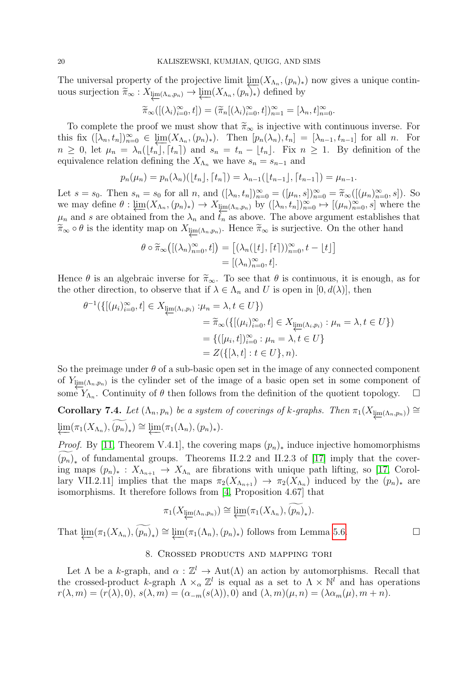The universal property of the projective limit  $\lim_{n \to \infty} (X_{\Lambda_n}, (p_n)_*)$  now gives a unique continuous surjection  $\widetilde{\pi}_{\infty}: X_{\varprojlim(\Lambda_n, p_n)} \to \varprojlim(X_{\Lambda_n}, (p_n)_*)$  defined by

$$
\widetilde{\pi}_{\infty}([(\lambda_i)_{i=0}^{\infty},t])=(\widetilde{\pi}_n[(\lambda_i)_{i=0}^{\infty},t])_{n=1}^{\infty}=[\lambda_n,t]_{n=0}^{\infty}.
$$

To complete the proof we must show that  $\tilde{\pi}_{\infty}$  is injective with continuous inverse. For this fix  $([\lambda_n, t_n])_{n=0}^{\infty} \in \lim_{n \to \infty} (X_{\Lambda_n}, (p_n)_*)$ . Then  $[p_n(\lambda_n), t_n] = [\lambda_{n-1}, t_{n-1}]$  for all n. For  $n \geq 0$ , let  $\mu_n = \lambda_n(\lfloor t_n \rfloor, \lceil t_n \rceil)$  and  $s_n = t_n - \lfloor t_n \rfloor$ . Fix  $n \geq 1$ . By definition of the equivalence relation defining the  $X_{\Lambda_n}$  we have  $s_n = s_{n-1}$  and

$$
p_n(\mu_n) = p_n(\lambda_n)(\lfloor t_n \rfloor, \lceil t_n \rceil) = \lambda_{n-1}(\lfloor t_{n-1} \rfloor, \lceil t_{n-1} \rceil) = \mu_{n-1}.
$$

Let  $s = s_0$ . Then  $s_n = s_0$  for all  $n$ , and  $([\lambda_n, t_n])_{n=0}^{\infty} = ([\mu_n, s])_{n=0}^{\infty} = \tilde{\pi}_{\infty}([(\mu_n)_{n=0}^{\infty}, s])$ . So we may define  $\theta$ :  $\underbrace{\lim}_{n \to \infty} (X_{\Lambda_n}, (p_n)_*) \to X_{\underline{\lim}_{n}(\Lambda_n, p_n)}$  by  $([\lambda_n, t_n])_{n=0}^{\infty} \mapsto [(\mu_n)_{n=0}^{\infty}, s]$  where the  $\mu_n$  and s are obtained from the  $\lambda_n$  and  $\overline{t_n}$  as above. The above argument establishes that  $\widetilde{\pi}_{\infty} \circ \theta$  is the identity map on  $X_{\underleftarrow{\text{im}}(\Lambda_n,p_n)}$ . Hence  $\widetilde{\pi}_{\infty}$  is surjective. On the other hand

$$
\theta \circ \widetilde{\pi}_{\infty} \big( [(\lambda_n)_{n=0}^{\infty}, t] \big) = \big[ (\lambda_n(\lfloor t \rfloor, \lceil t \rceil))_{n=0}^{\infty}, t - \lfloor t \rfloor \big] = \big[ (\lambda_n)_{n=0}^{\infty}, t \big].
$$

Hence  $\theta$  is an algebraic inverse for  $\tilde{\pi}_{\infty}$ . To see that  $\theta$  is continuous, it is enough, as for the other direction, to observe that if  $\lambda \in \Lambda_n$  and U is open in  $[0, d(\lambda)]$ , then

$$
\theta^{-1}(\{[(\mu_i)_{i=0}^{\infty}, t] \in X_{\underleftarrow{\lim}(\Lambda_i, p_i)} : \mu_n = \lambda, t \in U\})
$$
  

$$
= \widetilde{\pi}_{\infty}(\{[(\mu_i)_{i=0}^{\infty}, t] \in X_{\underleftarrow{\lim}(\Lambda_i, p_i)} : \mu_n = \lambda, t \in U\})
$$
  

$$
= \{([\mu_i, t])_{i=0}^{\infty} : \mu_n = \lambda, t \in U\}
$$
  

$$
= Z(\{\lambda, t] : t \in U\}, n).
$$

So the preimage under  $\theta$  of a sub-basic open set in the image of any connected component of  $Y_{\underline{\lim}(A_n,p_n)}$  is the cylinder set of the image of a basic open set in some component of some  $Y_{\Lambda_n}$ . Continuity of  $\theta$  then follows from the definition of the quotient topology.  $\Box$ 

Corollary 7.4. Let  $(\Lambda_n, p_n)$  be a system of coverings of k-graphs. Then  $\pi_1(X_{\underline{\text{im}}(\Lambda_n, p_n)}) \cong$  $\underline{\lim}(\pi_1(X_{\Lambda_n}), \widetilde{(p_n)}_*) \cong \underline{\lim}(\pi_1(\Lambda_n), (p_n)_*).$ 

*Proof.* By [\[11,](#page-24-8) Theorem V.4.1], the covering maps  $(p_n)_*$  induce injective homomorphisms  $(p_n)_*$  of fundamental groups. Theorems II.2.2 and II.2.3 of [\[17\]](#page-24-10) imply that the covering maps  $(p_n)_*: X_{\Lambda_{n+1}} \to X_{\Lambda_n}$  are fibrations with unique path lifting, so [\[17,](#page-24-10) Corollary VII.2.11] implies that the maps  $\pi_2(X_{\Lambda_{n+1}}) \to \pi_2(X_{\Lambda_n})$  induced by the  $(p_n)_*$  are isomorphisms. It therefore follows from [\[4,](#page-23-2) Proposition 4.67] that

$$
\pi_1(X_{\varprojlim(\Lambda_n, p_n)}) \cong \varprojlim(\pi_1(X_{\Lambda_n}), \widetilde{(p_n)}_*)
$$

That  $\varprojlim(\pi_1(X_{\Lambda_n}), \widetilde{(p_n)}_*) \cong \varprojlim(\pi_1(\Lambda_n), (p_n)_*)$  follows from Lemma [5.6.](#page-13-0)

## 8. Crossed products and mapping tori

Let  $\Lambda$  be a k-graph, and  $\alpha : \mathbb{Z}^l \to \text{Aut}(\Lambda)$  an action by automorphisms. Recall that the crossed-product k-graph  $\Lambda \times_{\alpha} \mathbb{Z}^l$  is equal as a set to  $\Lambda \times \mathbb{N}^l$  and has operations  $r(\lambda, m) = (r(\lambda), 0), s(\lambda, m) = (\alpha_{-m}(s(\lambda)), 0)$  and  $(\lambda, m)(\mu, n) = (\lambda \alpha_m(\mu), m + n)$ .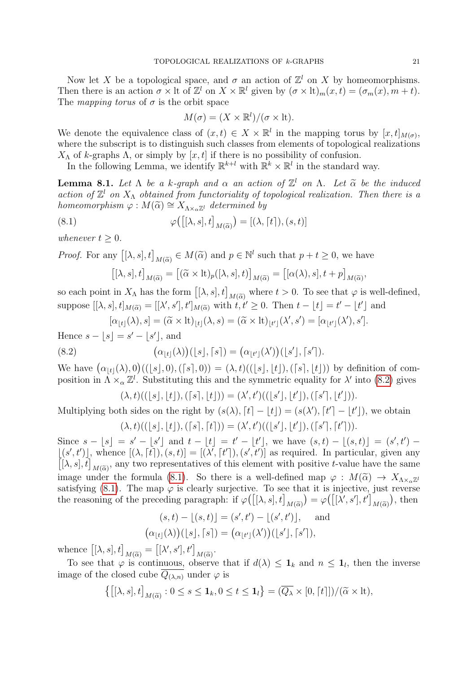Now let X be a topological space, and  $\sigma$  an action of  $\mathbb{Z}^l$  on X by homeomorphisms. Then there is an action  $\sigma \times \text{lt}$  on  $X \times \mathbb{R}^l$  given by  $(\sigma \times \text{lt})_m(x,t) = (\sigma_m(x), m+t)$ . The mapping torus of  $\sigma$  is the orbit space

$$
M(\sigma) = (X \times \mathbb{R}^l) / (\sigma \times \text{lt}).
$$

We denote the equivalence class of  $(x,t) \in X \times \mathbb{R}^l$  in the mapping torus by  $[x,t]_{M(\sigma)}$ , where the subscript is to distinguish such classes from elements of topological realizations  $X<sub>Λ</sub>$  of k-graphs Λ, or simply by [x, t] if there is no possibility of confusion.

In the following Lemma, we identify  $\mathbb{R}^{k+l}$  with  $\mathbb{R}^k \times \mathbb{R}^l$  in the standard way.

**Lemma 8.1.** Let  $\Lambda$  be a k-graph and  $\alpha$  an action of  $\mathbb{Z}^l$  on  $\Lambda$ . Let  $\tilde{\alpha}$  be the induced action of  $\mathbb{Z}^l$  on  $X$ , obtained from functoriality of topological reglization. Then there is a action of  $\mathbb{Z}^l$  on  $X_\Lambda$  obtained from functoriality of topological realization. Then there is a homeomorphism  $\varphi : M(\tilde{\alpha}) \cong X_{\Lambda \times_{\alpha} \mathbb{Z}^l}$  determined by

(8.1) 
$$
\varphi([\lambda, s], t]_{M(\widetilde{\alpha})}) = [(\lambda, \lceil t \rceil), (s, t)]
$$

whenever  $t \geq 0$ .

*Proof.* For any  $[(\lambda, s], t]$  $M(\widetilde{\alpha}) \in M(\widetilde{\alpha})$  and  $p \in \mathbb{N}^l$  such that  $p + t \geq 0$ , we have

<span id="page-22-1"></span>
$$
\left[[\lambda, s], t\right]_{M(\widetilde{\alpha})} = \left[(\widetilde{\alpha} \times \mathrm{lt})_p([\lambda, s], t)\right]_{M(\widetilde{\alpha})} = \left[ [\alpha(\lambda), s], t + p \right]_{M(\widetilde{\alpha})},
$$

so each point in  $X_{\Lambda}$  has the form  $[[\lambda, s], t]$  $M(\tilde{\alpha})$  where  $t > 0$ . To see that  $\varphi$  is well-defined, suppose  $[[\lambda, s], t]_{M(\widetilde{\alpha})} = [[\lambda', s'], t']_{M(\widetilde{\alpha})}$  with  $\widetilde{t}, \widetilde{t}' \geq 0$ . Then  $t - \lfloor t \rfloor = t' - \lfloor t' \rfloor$  and

$$
[\alpha_{\lfloor t\rfloor}(\lambda),s]=(\widetilde{\alpha}\times \mathrm{lt})_{\lfloor t\rfloor}(\lambda,s)=(\widetilde{\alpha}\times \mathrm{lt})_{\lfloor t'\rfloor}(\lambda',s')=[\alpha_{\lfloor t'\rfloor}(\lambda'),s'].
$$

Hence  $s - \lfloor s \rfloor = s' - \lfloor s' \rfloor$ , and

(8.2) 
$$
(\alpha_{\lfloor t\rfloor}(\lambda))(\lfloor s\rfloor, \lceil s\rceil) = (\alpha_{\lfloor t'\rfloor}(\lambda'))(\lfloor s'\rfloor, \lceil s'\rceil).
$$

We have  $(\alpha_{\lfloor t\rfloor}(\lambda), 0)((\lfloor s\rfloor, 0), (\lceil s\rceil, 0)) = (\lambda, t)((\lfloor s\rfloor, \lfloor t\rfloor), (\lceil s\rceil, \lfloor t\rfloor))$  by definition of composition in  $\Lambda \times_{\alpha} \mathbb{Z}^l$ . Substituting this and the symmetric equality for  $\lambda'$  into [\(8.2\)](#page-22-0) gives

<span id="page-22-0"></span>
$$
(\lambda, t)((\lfloor s \rfloor, \lfloor t \rfloor), (\lceil s \rceil, \lfloor t \rfloor)) = (\lambda', t')((\lfloor s' \rfloor, \lfloor t' \rfloor), (\lceil s' \rceil, \lfloor t' \rfloor)).
$$

Multiplying both sides on the right by  $(s(\lambda), [t] - |t|) = (s(\lambda'), [t'] - |t'|)$ , we obtain

$$
(\lambda, t)((\lfloor s \rfloor, \lfloor t \rfloor), (\lceil s \rceil, \lceil t \rceil)) = (\lambda', t')((\lfloor s' \rfloor, \lfloor t' \rfloor), (\lceil s' \rceil, \lceil t' \rceil)).
$$

Since  $s - [s] = s' - [s']$  and  $t - [t] = t' - [t']$ , we have  $(s, t) - [(s, t)] = (s', t') [(s', t')],$  whence  $[(\lambda, \lceil t \rceil), (s, t)] = [(\lambda', \lceil t' \rceil), (s', t')]$  as required. In particular, given any  $[(\lambda, s], t]$  $M(\tilde{\alpha})$ , any two representatives of this element with positive t-value have the same image under the formula [\(8.1\)](#page-22-1). So there is a well-defined map  $\varphi : M(\tilde{\alpha}) \to X_{\Lambda \times_{\alpha} \mathbb{Z}^l}$ satisfying [\(8.1\)](#page-22-1). The map  $\varphi$  is clearly surjective. To see that it is injective, just reverse the reasoning of the preceding paragraph: if  $\varphi([\lambda, s], t]$  $M(\widetilde{\alpha})$  $) = \varphi([\lambda', s'], t']$  $M(\widetilde{\alpha})$ , then

$$
(s,t) - \lfloor (s,t) \rfloor = (s',t') - \lfloor (s',t') \rfloor, \text{ and}
$$

$$
(\alpha_{\lfloor t \rfloor}(\lambda))(\lfloor s \rfloor, \lceil s \rceil) = (\alpha_{\lfloor t' \rfloor}(\lambda'))(\lfloor s' \rfloor, \lceil s' \rceil),
$$

whence  $[(\lambda, s], t]$  $M(\widetilde{\alpha}) = [[\lambda', s'], t']$  $M(\widetilde{\alpha})$ .

To see that  $\varphi$  is continuous, observe that if  $d(\lambda) \leq \mathbf{1}_k$  and  $n \leq \mathbf{1}_l$ , then the inverse image of the closed cube  $Q_{(\lambda,n)}$  under  $\varphi$  is

$$
\left\{ \left[ [\lambda, s], t \right]_{M(\widetilde{\alpha})} : 0 \le s \le \mathbf{1}_k, 0 \le t \le \mathbf{1}_l \right\} = (\overline{Q_{\lambda}} \times [0, \lceil t \rceil]) / (\widetilde{\alpha} \times \mathrm{lt}),
$$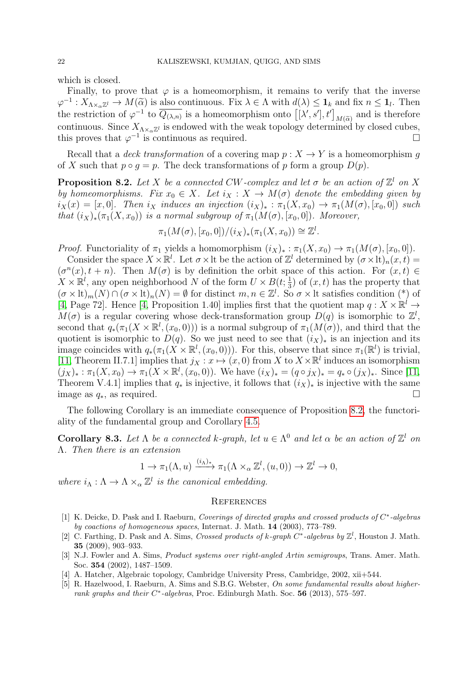which is closed.

Finally, to prove that  $\varphi$  is a homeomorphism, it remains to verify that the inverse  $\varphi^{-1}: X_{\Lambda \times_{\alpha} \mathbb{Z}^l} \to M(\widetilde{\alpha})$  is also continuous. Fix  $\lambda \in \Lambda$  with  $d(\lambda) \leq \mathbf{1}_k$  and fix  $n \leq \mathbf{1}_l$ . Then<br>the restriction of  $\varphi^{-1}$  to  $\overline{\Omega_{\lambda \lambda}}$  is a homomorphism onto  $\left[\begin{smallmatrix} \lambda' & e' \\ 1 & t' \end{smallmatrix}\right]$  a the restriction of  $\varphi^{-1}$  to  $\overline{Q_{(\lambda,n)}}$  is a homeomorphism onto  $[[\lambda', s'], t']$  $M(\tilde{\alpha})$  and is therefore continuous. Since  $X_{\Lambda\times_{\alpha}\mathbb{Z}^l}$  is endowed with the weak topology determined by closed cubes, this proves that  $\varphi^{-1}$  is continuous as required.

Recall that a *deck transformation* of a covering map  $p : X \to Y$  is a homeomorphism q of X such that  $p \circ q = p$ . The deck transformations of p form a group  $D(p)$ .

<span id="page-23-5"></span>**Proposition 8.2.** Let X be a connected CW-complex and let  $\sigma$  be an action of  $\mathbb{Z}^l$  on X by homeomorphisms. Fix  $x_0 \in X$ . Let  $i_X : X \to M(\sigma)$  denote the embedding given by  $i_X(x) = [x, 0]$ . Then  $i_X$  induces an injection  $(i_X)_*: \pi_1(X, x_0) \to \pi_1(M(\sigma), [x_0, 0])$  such that  $(i_X)_*(\pi_1(X, x_0))$  is a normal subgroup of  $\pi_1(M(\sigma), [x_0, 0])$ . Moreover,

$$
\pi_1(M(\sigma), [x_0, 0])/(i_X)_*(\pi_1(X, x_0)) \cong \mathbb{Z}^l.
$$

*Proof.* Functoriality of  $\pi_1$  yields a homomorphism  $(i_X)_*: \pi_1(X, x_0) \to \pi_1(M(\sigma), [x_0, 0]).$ 

Consider the space  $X \times \mathbb{R}^l$ . Let  $\sigma \times \mathbb{R}^l$  be the action of  $\mathbb{Z}^l$  determined by  $(\sigma \times \mathbb{R})_n(x, t) =$  $(\sigma^n(x), t + n)$ . Then  $M(\sigma)$  is by definition the orbit space of this action. For  $(x, t) \in$  $X \times \mathbb{R}^l$ , any open neighborhood N of the form  $U \times B(t, \frac{1}{3})$  $\frac{1}{3}$ ) of  $(x, t)$  has the property that  $(\sigma \times \mathrm{lt})_m(N) \cap (\sigma \times \mathrm{lt})_n(N) = \emptyset$  for distinct  $m, n \in \mathbb{Z}^l$ . So  $\sigma \times \mathrm{lt}$  satisfies condition (\*) of [\[4,](#page-23-2) Page 72]. Hence [\[4,](#page-23-2) Proposition 1.40] implies first that the quotient map  $q: X \times \mathbb{R}^l \to$  $M(\sigma)$  is a regular covering whose deck-transformation group  $D(q)$  is isomorphic to  $\mathbb{Z}^l$ , second that  $q_*(\pi_1(X \times \mathbb{R}^l, (x_0, 0)))$  is a normal subgroup of  $\pi_1(M(\sigma))$ , and third that the quotient is isomorphic to  $D(q)$ . So we just need to see that  $(i_X)_*$  is an injection and its image coincides with  $q_*(\pi_1(X \times \mathbb{R}^l, (x_0, 0)))$ . For this, observe that since  $\pi_1(\mathbb{R}^l)$  is trivial, [\[11,](#page-24-8) Theorem II.7.1] implies that  $j_X : x \mapsto (x,0)$  from X to  $X \times \mathbb{R}^l$  induces an isomorphism  $(j_X)_*: \pi_1(X, x_0) \to \pi_1(X \times \mathbb{R}^l, (x_0, 0)).$  We have  $(i_X)_* = (q \circ j_X)_* = q_* \circ (j_X)_*.$  Since [\[11,](#page-24-8) Theorem V.4.1] implies that  $q_*$  is injective, it follows that  $(i_X)_*$  is injective with the same image as  $q_*$ , as required.

The following Corollary is an immediate consequence of Proposition [8.2,](#page-23-5) the functoriality of the fundamental group and Corollary [4.5.](#page-11-0)

**Corollary 8.3.** Let  $\Lambda$  be a connected k-graph, let  $u \in \Lambda^0$  and let  $\alpha$  be an action of  $\mathbb{Z}^l$  on Λ. Then there is an extension

$$
1 \to \pi_1(\Lambda, u) \xrightarrow{(i_{\Lambda})_*} \pi_1(\Lambda \times_{\alpha} \mathbb{Z}^l, (u, 0)) \to \mathbb{Z}^l \to 0,
$$

where  $i_{\Lambda}: \Lambda \to \Lambda \times_{\alpha} \mathbb{Z}^l$  is the canonical embedding.

#### **REFERENCES**

- <span id="page-23-0"></span>[1] K. Deicke, D. Pask and I. Raeburn, Coverings of directed graphs and crossed products of  $C^*$ -algebras by coactions of homogeneous spaces, Internat. J. Math. 14 (2003), 773–789.
- <span id="page-23-1"></span>[2] C. Farthing, D. Pask and A. Sims, Crossed products of k-graph  $C^*$ -algebras by  $\mathbb{Z}^l$ , Houston J. Math. 35 (2009), 903–933.
- <span id="page-23-3"></span>[3] N.J. Fowler and A. Sims, Product systems over right-angled Artin semigroups, Trans. Amer. Math. Soc. 354 (2002), 1487–1509.
- <span id="page-23-2"></span>[4] A. Hatcher, Algebraic topology, Cambridge University Press, Cambridge, 2002, xii+544.
- <span id="page-23-4"></span>[5] R. Hazelwood, I. Raeburn, A. Sims and S.B.G. Webster, On some fundamental results about higherrank graphs and their  $C^*$ -algebras, Proc. Edinburgh Math. Soc. 56 (2013), 575-597.